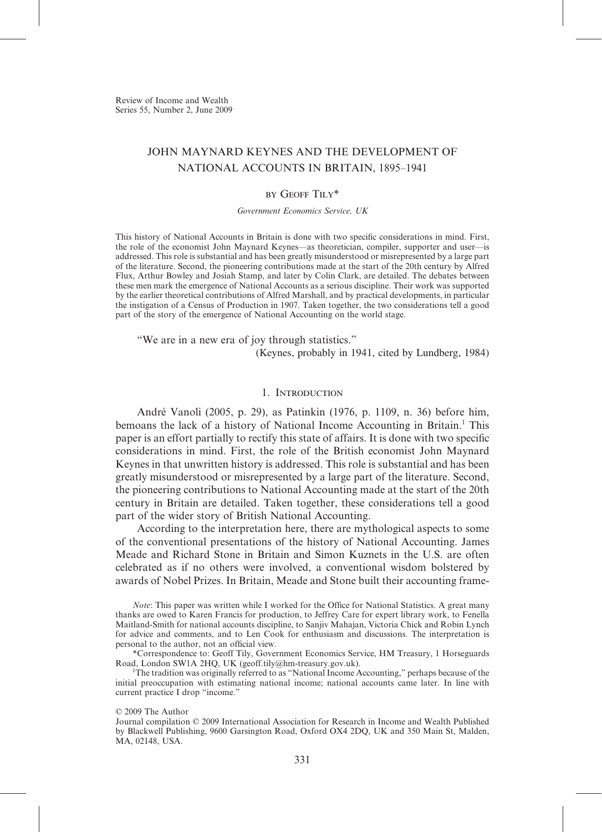# JOHN MAYNARD KEYNES AND THE DEVELOPMENT OF NATIONAL ACCOUNTS IN BRITAIN, 1895–1941

#### by Geoff Tily\*

*Government Economics Service, UK*

This history of National Accounts in Britain is done with two specific considerations in mind. First, the role of the economist John Maynard Keynes—as theoretician, compiler, supporter and user—is addressed. This role is substantial and has been greatly misunderstood or misrepresented by a large part of the literature. Second, the pioneering contributions made at the start of the 20th century by Alfred Flux, Arthur Bowley and Josiah Stamp, and later by Colin Clark, are detailed. The debates between these men mark the emergence of National Accounts as a serious discipline. Their work was supported by the earlier theoretical contributions of Alfred Marshall, and by practical developments, in particular the instigation of a Census of Production in 1907. Taken together, the two considerations tell a good part of the story of the emergence of National Accounting on the world stage.

"We are in a new era of joy through statistics."

(Keynes, probably in 1941, cited by Lundberg, 1984)

## 1. Introduction

André Vanoli (2005, p. 29), as Patinkin (1976, p. 1109, n. 36) before him, bemoans the lack of a history of National Income Accounting in Britain.<sup>1</sup> This paper is an effort partially to rectify this state of affairs. It is done with two specific considerations in mind. First, the role of the British economist John Maynard Keynes in that unwritten history is addressed. This role is substantial and has been greatly misunderstood or misrepresented by a large part of the literature. Second, the pioneering contributions to National Accounting made at the start of the 20th century in Britain are detailed. Taken together, these considerations tell a good part of the wider story of British National Accounting.

According to the interpretation here, there are mythological aspects to some of the conventional presentations of the history of National Accounting. James Meade and Richard Stone in Britain and Simon Kuznets in the U.S. are often celebrated as if no others were involved, a conventional wisdom bolstered by awards of Nobel Prizes. In Britain, Meade and Stone built their accounting frame-

*Note*: This paper was written while I worked for the Office for National Statistics. A great many thanks are owed to Karen Francis for production, to Jeffrey Care for expert library work, to Fenella Maitland-Smith for national accounts discipline, to Sanjiv Mahajan, Victoria Chick and Robin Lynch for advice and comments, and to Len Cook for enthusiasm and discussions. The interpretation is personal to the author, not an official view.

\*Correspondence to: Geoff Tily, Government Economics Service, HM Treasury, 1 Horseguards Road, London SW1A 2HQ, UK (geoff.tily@hm-treasury.gov.uk).

1 The tradition was originally referred to as "National Income Accounting," perhaps because of the initial preoccupation with estimating national income; national accounts came later. In line with current practice I drop "income."

#### © 2009 The Author

Journal compilation © 2009 International Association for Research in Income and Wealth Published by Blackwell Publishing, 9600 Garsington Road, Oxford OX4 2DQ, UK and 350 Main St, Malden, MA, 02148, USA.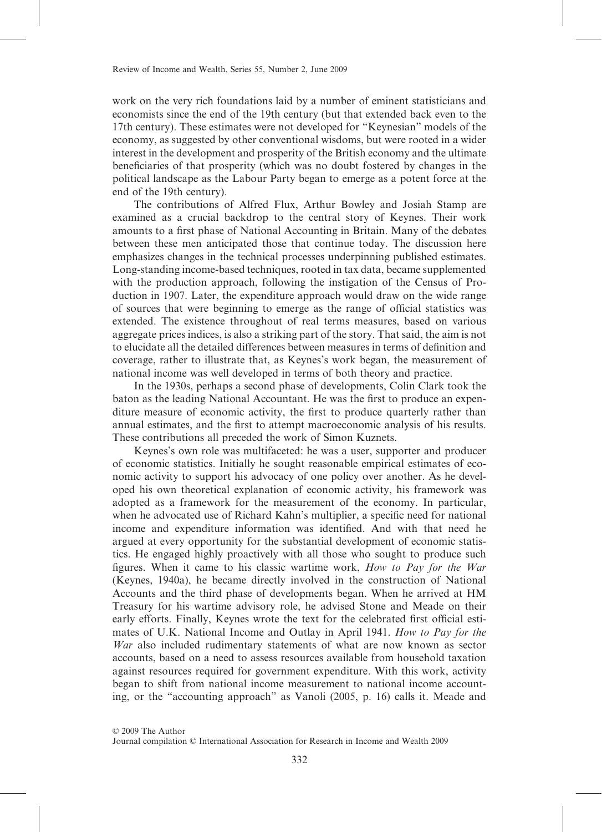work on the very rich foundations laid by a number of eminent statisticians and economists since the end of the 19th century (but that extended back even to the 17th century). These estimates were not developed for "Keynesian" models of the economy, as suggested by other conventional wisdoms, but were rooted in a wider interest in the development and prosperity of the British economy and the ultimate beneficiaries of that prosperity (which was no doubt fostered by changes in the political landscape as the Labour Party began to emerge as a potent force at the end of the 19th century).

The contributions of Alfred Flux, Arthur Bowley and Josiah Stamp are examined as a crucial backdrop to the central story of Keynes. Their work amounts to a first phase of National Accounting in Britain. Many of the debates between these men anticipated those that continue today. The discussion here emphasizes changes in the technical processes underpinning published estimates. Long-standing income-based techniques, rooted in tax data, became supplemented with the production approach, following the instigation of the Census of Production in 1907. Later, the expenditure approach would draw on the wide range of sources that were beginning to emerge as the range of official statistics was extended. The existence throughout of real terms measures, based on various aggregate prices indices, is also a striking part of the story. That said, the aim is not to elucidate all the detailed differences between measures in terms of definition and coverage, rather to illustrate that, as Keynes's work began, the measurement of national income was well developed in terms of both theory and practice.

In the 1930s, perhaps a second phase of developments, Colin Clark took the baton as the leading National Accountant. He was the first to produce an expenditure measure of economic activity, the first to produce quarterly rather than annual estimates, and the first to attempt macroeconomic analysis of his results. These contributions all preceded the work of Simon Kuznets.

Keynes's own role was multifaceted: he was a user, supporter and producer of economic statistics. Initially he sought reasonable empirical estimates of economic activity to support his advocacy of one policy over another. As he developed his own theoretical explanation of economic activity, his framework was adopted as a framework for the measurement of the economy. In particular, when he advocated use of Richard Kahn's multiplier, a specific need for national income and expenditure information was identified. And with that need he argued at every opportunity for the substantial development of economic statistics. He engaged highly proactively with all those who sought to produce such figures. When it came to his classic wartime work, *How to Pay for the War* (Keynes, 1940a), he became directly involved in the construction of National Accounts and the third phase of developments began. When he arrived at HM Treasury for his wartime advisory role, he advised Stone and Meade on their early efforts. Finally, Keynes wrote the text for the celebrated first official estimates of U.K. National Income and Outlay in April 1941. *How to Pay for the War* also included rudimentary statements of what are now known as sector accounts, based on a need to assess resources available from household taxation against resources required for government expenditure. With this work, activity began to shift from national income measurement to national income accounting, or the "accounting approach" as Vanoli (2005, p. 16) calls it. Meade and

<sup>© 2009</sup> The Author

Journal compilation © International Association for Research in Income and Wealth 2009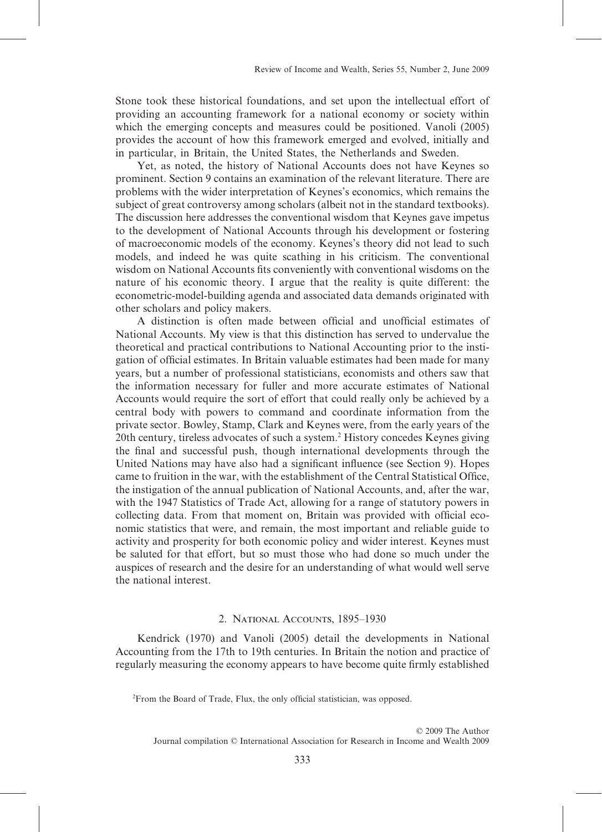Stone took these historical foundations, and set upon the intellectual effort of providing an accounting framework for a national economy or society within which the emerging concepts and measures could be positioned. Vanoli (2005) provides the account of how this framework emerged and evolved, initially and in particular, in Britain, the United States, the Netherlands and Sweden.

Yet, as noted, the history of National Accounts does not have Keynes so prominent. Section 9 contains an examination of the relevant literature. There are problems with the wider interpretation of Keynes's economics, which remains the subject of great controversy among scholars (albeit not in the standard textbooks). The discussion here addresses the conventional wisdom that Keynes gave impetus to the development of National Accounts through his development or fostering of macroeconomic models of the economy. Keynes's theory did not lead to such models, and indeed he was quite scathing in his criticism. The conventional wisdom on National Accounts fits conveniently with conventional wisdoms on the nature of his economic theory. I argue that the reality is quite different: the econometric-model-building agenda and associated data demands originated with other scholars and policy makers.

A distinction is often made between official and unofficial estimates of National Accounts. My view is that this distinction has served to undervalue the theoretical and practical contributions to National Accounting prior to the instigation of official estimates. In Britain valuable estimates had been made for many years, but a number of professional statisticians, economists and others saw that the information necessary for fuller and more accurate estimates of National Accounts would require the sort of effort that could really only be achieved by a central body with powers to command and coordinate information from the private sector. Bowley, Stamp, Clark and Keynes were, from the early years of the 20th century, tireless advocates of such a system.2 History concedes Keynes giving the final and successful push, though international developments through the United Nations may have also had a significant influence (see Section 9). Hopes came to fruition in the war, with the establishment of the Central Statistical Office, the instigation of the annual publication of National Accounts, and, after the war, with the 1947 Statistics of Trade Act, allowing for a range of statutory powers in collecting data. From that moment on, Britain was provided with official economic statistics that were, and remain, the most important and reliable guide to activity and prosperity for both economic policy and wider interest. Keynes must be saluted for that effort, but so must those who had done so much under the auspices of research and the desire for an understanding of what would well serve the national interest.

## 2. National Accounts, 1895–1930

Kendrick (1970) and Vanoli (2005) detail the developments in National Accounting from the 17th to 19th centuries. In Britain the notion and practice of regularly measuring the economy appears to have become quite firmly established

2 From the Board of Trade, Flux, the only official statistician, was opposed.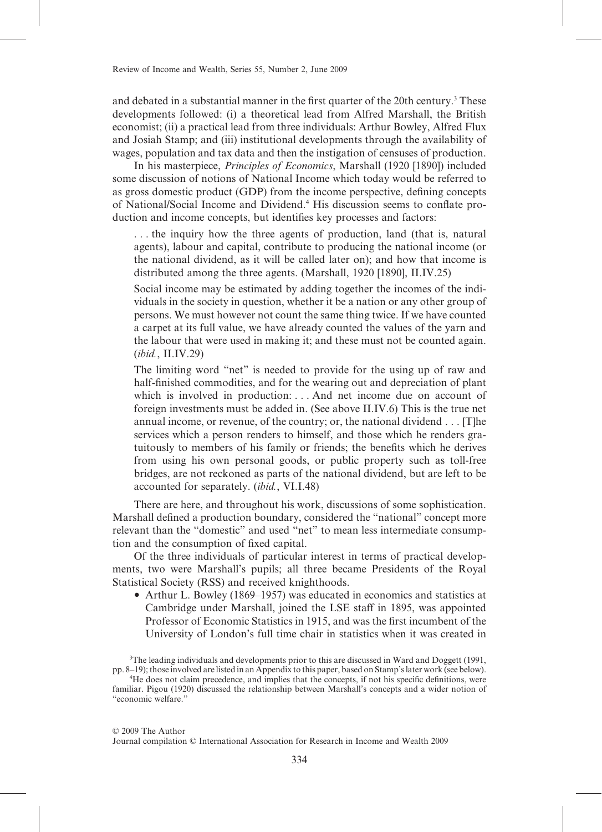and debated in a substantial manner in the first quarter of the 20th century.3 These developments followed: (i) a theoretical lead from Alfred Marshall, the British economist; (ii) a practical lead from three individuals: Arthur Bowley, Alfred Flux and Josiah Stamp; and (iii) institutional developments through the availability of wages, population and tax data and then the instigation of censuses of production.

In his masterpiece, *Principles of Economics*, Marshall (1920 [1890]) included some discussion of notions of National Income which today would be referred to as gross domestic product (GDP) from the income perspective, defining concepts of National/Social Income and Dividend.<sup>4</sup> His discussion seems to conflate production and income concepts, but identifies key processes and factors:

. . . the inquiry how the three agents of production, land (that is, natural agents), labour and capital, contribute to producing the national income (or the national dividend, as it will be called later on); and how that income is distributed among the three agents. (Marshall, 1920 [1890], II.IV.25)

Social income may be estimated by adding together the incomes of the individuals in the society in question, whether it be a nation or any other group of persons. We must however not count the same thing twice. If we have counted a carpet at its full value, we have already counted the values of the yarn and the labour that were used in making it; and these must not be counted again. (*ibid.*, II.IV.29)

The limiting word "net" is needed to provide for the using up of raw and half-finished commodities, and for the wearing out and depreciation of plant which is involved in production: ... And net income due on account of foreign investments must be added in. (See above II.IV.6) This is the true net annual income, or revenue, of the country; or, the national dividend... [T]he services which a person renders to himself, and those which he renders gratuitously to members of his family or friends; the benefits which he derives from using his own personal goods, or public property such as toll-free bridges, are not reckoned as parts of the national dividend, but are left to be accounted for separately. (*ibid.*, VI.I.48)

There are here, and throughout his work, discussions of some sophistication. Marshall defined a production boundary, considered the "national" concept more relevant than the "domestic" and used "net" to mean less intermediate consumption and the consumption of fixed capital.

Of the three individuals of particular interest in terms of practical developments, two were Marshall's pupils; all three became Presidents of the Royal Statistical Society (RSS) and received knighthoods.

• Arthur L. Bowley (1869–1957) was educated in economics and statistics at Cambridge under Marshall, joined the LSE staff in 1895, was appointed Professor of Economic Statistics in 1915, and was the first incumbent of the University of London's full time chair in statistics when it was created in

<sup>&</sup>lt;sup>3</sup>The leading individuals and developments prior to this are discussed in Ward and Doggett (1991, pp. 8–19); those involved are listed in an Appendix to this paper, based on Stamp's later work (see below).

<sup>4</sup> He does not claim precedence, and implies that the concepts, if not his specific definitions, were familiar. Pigou (1920) discussed the relationship between Marshall's concepts and a wider notion of "economic welfare."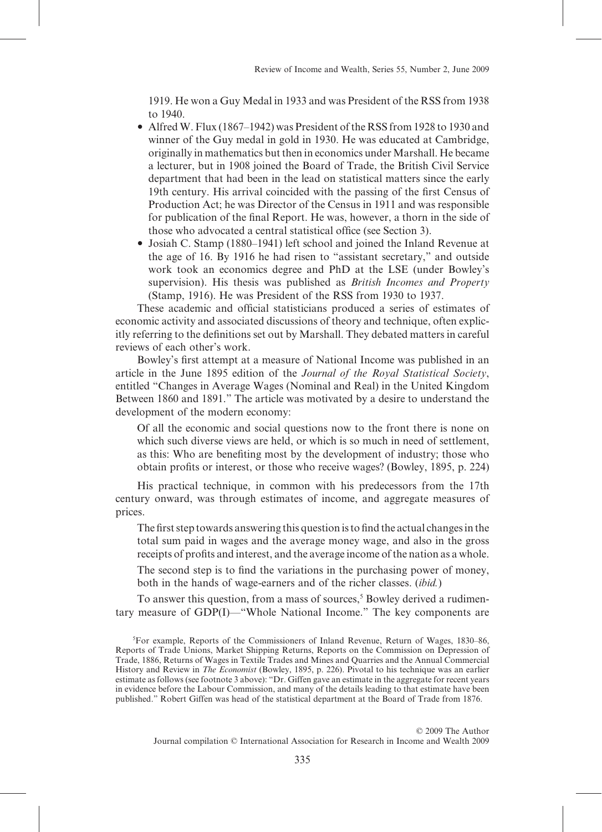1919. He won a Guy Medal in 1933 and was President of the RSS from 1938 to 1940.

- Alfred W. Flux (1867–1942) was President of the RSS from 1928 to 1930 and winner of the Guy medal in gold in 1930. He was educated at Cambridge, originally in mathematics but then in economics under Marshall. He became a lecturer, but in 1908 joined the Board of Trade, the British Civil Service department that had been in the lead on statistical matters since the early 19th century. His arrival coincided with the passing of the first Census of Production Act; he was Director of the Census in 1911 and was responsible for publication of the final Report. He was, however, a thorn in the side of those who advocated a central statistical office (see Section 3).
- Josiah C. Stamp (1880–1941) left school and joined the Inland Revenue at the age of 16. By 1916 he had risen to "assistant secretary," and outside work took an economics degree and PhD at the LSE (under Bowley's supervision). His thesis was published as *British Incomes and Property* (Stamp, 1916). He was President of the RSS from 1930 to 1937.

These academic and official statisticians produced a series of estimates of economic activity and associated discussions of theory and technique, often explicitly referring to the definitions set out by Marshall. They debated matters in careful reviews of each other's work.

Bowley's first attempt at a measure of National Income was published in an article in the June 1895 edition of the *Journal of the Royal Statistical Society*, entitled "Changes in Average Wages (Nominal and Real) in the United Kingdom Between 1860 and 1891." The article was motivated by a desire to understand the development of the modern economy:

Of all the economic and social questions now to the front there is none on which such diverse views are held, or which is so much in need of settlement. as this: Who are benefiting most by the development of industry; those who obtain profits or interest, or those who receive wages? (Bowley, 1895, p. 224)

His practical technique, in common with his predecessors from the 17th century onward, was through estimates of income, and aggregate measures of prices.

The first step towards answering this question is to find the actual changes in the total sum paid in wages and the average money wage, and also in the gross receipts of profits and interest, and the average income of the nation as a whole.

The second step is to find the variations in the purchasing power of money, both in the hands of wage-earners and of the richer classes. (*ibid.*)

To answer this question, from a mass of sources,<sup>5</sup> Bowley derived a rudimentary measure of GDP(I)—"Whole National Income." The key components are

<sup>5</sup> For example, Reports of the Commissioners of Inland Revenue, Return of Wages, 1830–86, Reports of Trade Unions, Market Shipping Returns, Reports on the Commission on Depression of Trade, 1886, Returns of Wages in Textile Trades and Mines and Quarries and the Annual Commercial History and Review in *The Economist* (Bowley, 1895, p. 226). Pivotal to his technique was an earlier estimate as follows (see footnote 3 above): "Dr. Giffen gave an estimate in the aggregate for recent years in evidence before the Labour Commission, and many of the details leading to that estimate have been published." Robert Giffen was head of the statistical department at the Board of Trade from 1876.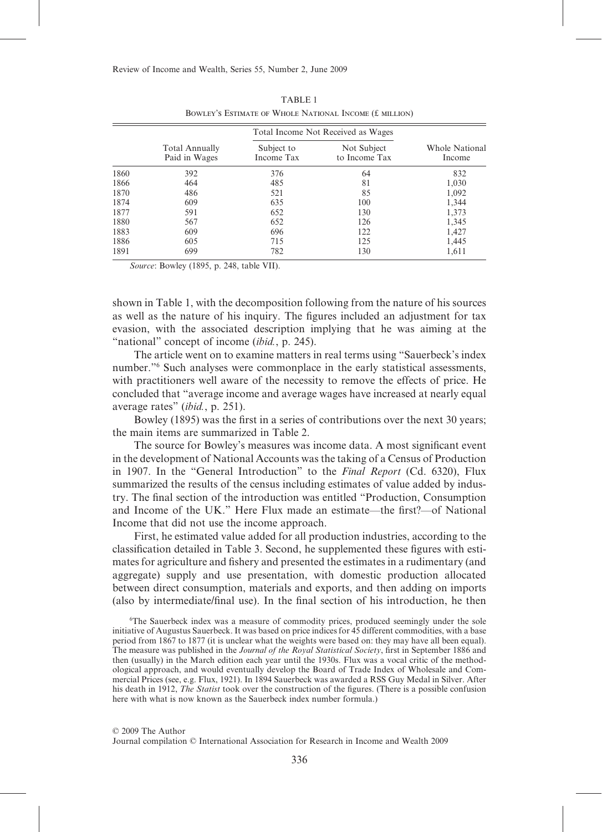|      |                                 |                          | Total Income Not Received as Wages |                          |  |
|------|---------------------------------|--------------------------|------------------------------------|--------------------------|--|
|      | Total Annually<br>Paid in Wages | Subject to<br>Income Tax | Not Subject<br>to Income Tax       | Whole National<br>Income |  |
| 1860 | 392                             | 376                      | 64                                 | 832                      |  |
| 1866 | 464                             | 485                      | 81                                 | 1,030                    |  |
| 1870 | 486                             | 521                      | 85                                 | 1,092                    |  |
| 1874 | 609                             | 635                      | 100                                | 1,344                    |  |
| 1877 | 591                             | 652                      | 130                                | 1,373                    |  |
| 1880 | 567                             | 652                      | 126                                | 1,345                    |  |
| 1883 | 609                             | 696                      | 122                                | 1,427                    |  |
| 1886 | 605                             | 715                      | 125                                | 1,445                    |  |
| 1891 | 699                             | 782                      | 130                                | 1,611                    |  |

| TABLE 1                                                |
|--------------------------------------------------------|
| BOWLEY'S ESTIMATE OF WHOLE NATIONAL INCOME (£ MILLION) |

*Source*: Bowley (1895, p. 248, table VII).

shown in Table 1, with the decomposition following from the nature of his sources as well as the nature of his inquiry. The figures included an adjustment for tax evasion, with the associated description implying that he was aiming at the "national" concept of income (*ibid.*, p. 245).

The article went on to examine matters in real terms using "Sauerbeck's index number."<sup>6</sup> Such analyses were commonplace in the early statistical assessments, with practitioners well aware of the necessity to remove the effects of price. He concluded that "average income and average wages have increased at nearly equal average rates" (*ibid.*, p. 251).

Bowley (1895) was the first in a series of contributions over the next 30 years; the main items are summarized in Table 2.

The source for Bowley's measures was income data. A most significant event in the development of National Accounts was the taking of a Census of Production in 1907. In the "General Introduction" to the *Final Report* (Cd. 6320), Flux summarized the results of the census including estimates of value added by industry. The final section of the introduction was entitled "Production, Consumption and Income of the UK." Here Flux made an estimate—the first?—of National Income that did not use the income approach.

First, he estimated value added for all production industries, according to the classification detailed in Table 3. Second, he supplemented these figures with estimates for agriculture and fishery and presented the estimates in a rudimentary (and aggregate) supply and use presentation, with domestic production allocated between direct consumption, materials and exports, and then adding on imports (also by intermediate/final use). In the final section of his introduction, he then

<sup>6</sup> The Sauerbeck index was a measure of commodity prices, produced seemingly under the sole initiative of Augustus Sauerbeck. It was based on price indices for 45 different commodities, with a base period from 1867 to 1877 (it is unclear what the weights were based on: they may have all been equal). The measure was published in the *Journal of the Royal Statistical Society*, first in September 1886 and then (usually) in the March edition each year until the 1930s. Flux was a vocal critic of the methodological approach, and would eventually develop the Board of Trade Index of Wholesale and Commercial Prices (see, e.g. Flux, 1921). In 1894 Sauerbeck was awarded a RSS Guy Medal in Silver. After his death in 1912, *The Statist* took over the construction of the figures. (There is a possible confusion here with what is now known as the Sauerbeck index number formula.)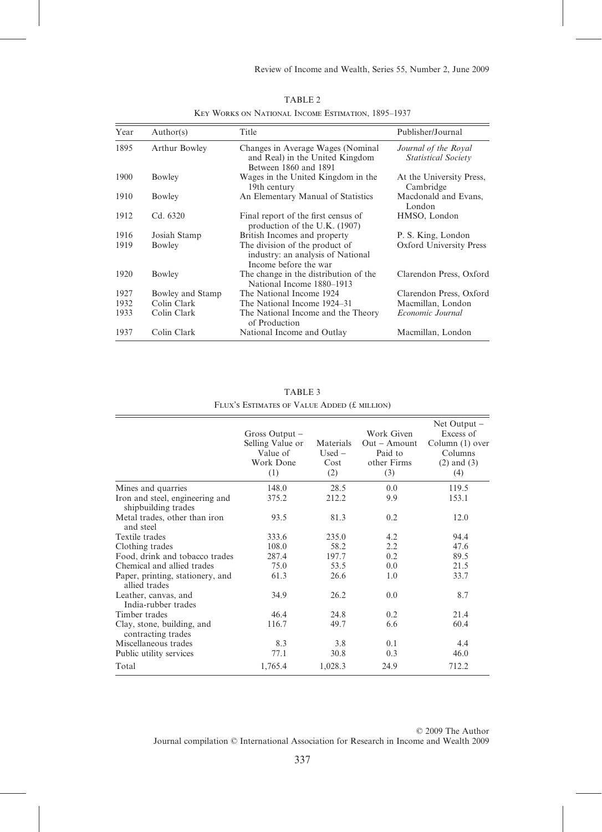| Year | Author(s)        | Title                                                                                         | Publisher/Journal                                  |
|------|------------------|-----------------------------------------------------------------------------------------------|----------------------------------------------------|
| 1895 | Arthur Bowley    | Changes in Average Wages (Nominal<br>and Real) in the United Kingdom<br>Between 1860 and 1891 | Journal of the Royal<br><b>Statistical Society</b> |
| 1900 | Bowley           | Wages in the United Kingdom in the<br>19th century                                            | At the University Press,<br>Cambridge              |
| 1910 | Bowley           | An Elementary Manual of Statistics                                                            | Macdonald and Evans,<br>London                     |
| 1912 | Cd. 6320         | Final report of the first census of<br>production of the U.K. (1907)                          | HMSO, London                                       |
| 1916 | Josiah Stamp     | British Incomes and property                                                                  | P. S. King, London                                 |
| 1919 | Bowley           | The division of the product of<br>industry: an analysis of National<br>Income before the war  | Oxford University Press                            |
| 1920 | Bowley           | The change in the distribution of the<br>National Income 1880–1913                            | Clarendon Press, Oxford                            |
| 1927 | Bowley and Stamp | The National Income 1924                                                                      | Clarendon Press, Oxford                            |
| 1932 | Colin Clark      | The National Income 1924–31                                                                   | Macmillan, London                                  |
| 1933 | Colin Clark      | The National Income and the Theory<br>of Production                                           | Economic Journal                                   |
| 1937 | Colin Clark      | National Income and Outlay                                                                    | Macmillan, London                                  |

| L<br>۱D. |  |
|----------|--|
|          |  |

Key Works on National Income Estimation, 1895–1937

| TABLE 3                                     |
|---------------------------------------------|
| FLUX'S ESTIMATES OF VALUE ADDED (£ MILLION) |

|                                                        | Gross Output –<br>Selling Value or<br>Value of<br>Work Done<br>(1) | Materials<br>$Used -$<br>Cost<br>(2) | Work Given<br>$Out - Amount$<br>Paid to<br>other Firms<br>(3) | Net Output $-$<br>Excess of<br>Column (1) over<br>Columns<br>$(2)$ and $(3)$<br>(4) |
|--------------------------------------------------------|--------------------------------------------------------------------|--------------------------------------|---------------------------------------------------------------|-------------------------------------------------------------------------------------|
| Mines and quarries                                     | 148.0                                                              | 28.5                                 | 0.0                                                           | 119.5                                                                               |
| Iron and steel, engineering and<br>shipbuilding trades | 375.2                                                              | 212.2                                | 9.9                                                           | 153.1                                                                               |
| Metal trades, other than iron<br>and steel             | 93.5                                                               | 81.3                                 | 0.2                                                           | 12.0                                                                                |
| Textile trades                                         | 333.6                                                              | 235.0                                | 4.2                                                           | 94.4                                                                                |
| Clothing trades                                        | 108.0                                                              | 58.2                                 | 2.2                                                           | 47.6                                                                                |
| Food, drink and tobacco trades                         | 287.4                                                              | 197.7                                | 0.2                                                           | 89.5                                                                                |
| Chemical and allied trades                             | 75.0                                                               | 53.5                                 | 0.0                                                           | 21.5                                                                                |
| Paper, printing, stationery, and<br>allied trades      | 61.3                                                               | 26.6                                 | 1.0                                                           | 33.7                                                                                |
| Leather, canvas, and<br>India-rubber trades            | 34.9                                                               | 26.2                                 | 0.0                                                           | 8.7                                                                                 |
| Timber trades                                          | 46.4                                                               | 24.8                                 | 0.2                                                           | 21.4                                                                                |
| Clay, stone, building, and<br>contracting trades       | 116.7                                                              | 49.7                                 | 6.6                                                           | 60.4                                                                                |
| Miscellaneous trades                                   | 8.3                                                                | 3.8                                  | 0.1                                                           | 4.4                                                                                 |
| Public utility services                                | 77.1                                                               | 30.8                                 | 0.3                                                           | 46.0                                                                                |
| Total                                                  | 1,765.4                                                            | 1,028.3                              | 24.9                                                          | 712.2                                                                               |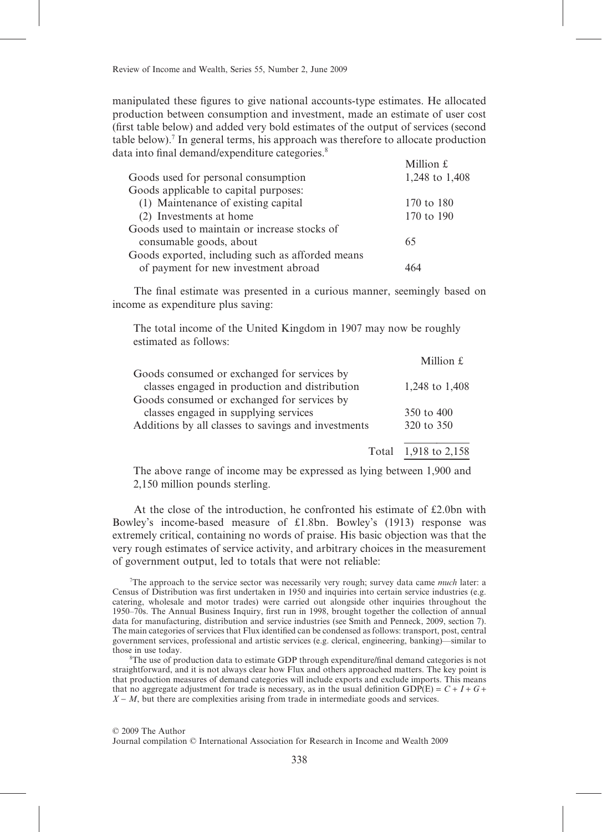manipulated these figures to give national accounts-type estimates. He allocated production between consumption and investment, made an estimate of user cost (first table below) and added very bold estimates of the output of services (second table below).<sup>7</sup> In general terms, his approach was therefore to allocate production data into final demand/expenditure categories.<sup>8</sup>  $M:11$  and  $\Gamma$ 

|                                                  | імпінон а      |
|--------------------------------------------------|----------------|
| Goods used for personal consumption              | 1,248 to 1,408 |
| Goods applicable to capital purposes:            |                |
| (1) Maintenance of existing capital              | 170 to 180     |
| (2) Investments at home                          | 170 to 190     |
| Goods used to maintain or increase stocks of     |                |
| consumable goods, about                          | 65             |
| Goods exported, including such as afforded means |                |
| of payment for new investment abroad             | 464            |
|                                                  |                |

The final estimate was presented in a curious manner, seemingly based on income as expenditure plus saving:

The total income of the United Kingdom in 1907 may now be roughly estimated as follows:

|                                                                                               | Million £      |
|-----------------------------------------------------------------------------------------------|----------------|
| Goods consumed or exchanged for services by<br>classes engaged in production and distribution | 1,248 to 1,408 |
| Goods consumed or exchanged for services by                                                   |                |
| classes engaged in supplying services                                                         | 350 to 400     |
| Additions by all classes to savings and investments                                           | 320 to 350     |
|                                                                                               |                |

Total 1,918 to 2,158

The above range of income may be expressed as lying between 1,900 and 2,150 million pounds sterling.

At the close of the introduction, he confronted his estimate of £2.0bn with Bowley's income-based measure of £1.8bn. Bowley's (1913) response was extremely critical, containing no words of praise. His basic objection was that the very rough estimates of service activity, and arbitrary choices in the measurement of government output, led to totals that were not reliable:

<sup>7</sup> The approach to the service sector was necessarily very rough; survey data came *much* later: a Census of Distribution was first undertaken in 1950 and inquiries into certain service industries (e.g. catering, wholesale and motor trades) were carried out alongside other inquiries throughout the 1950–70s. The Annual Business Inquiry, first run in 1998, brought together the collection of annual data for manufacturing, distribution and service industries (see Smith and Penneck, 2009, section 7). The main categories of services that Flux identified can be condensed as follows: transport, post, central government services, professional and artistic services (e.g. clerical, engineering, banking)—similar to those in use today.

<sup>8</sup> The use of production data to estimate GDP through expenditure/final demand categories is not straightforward, and it is not always clear how Flux and others approached matters. The key point is that production measures of demand categories will include exports and exclude imports. This means that no aggregate adjustment for trade is necessary, as in the usual definition GDP(E) =  $C + I + G +$ *X* - *M*, but there are complexities arising from trade in intermediate goods and services.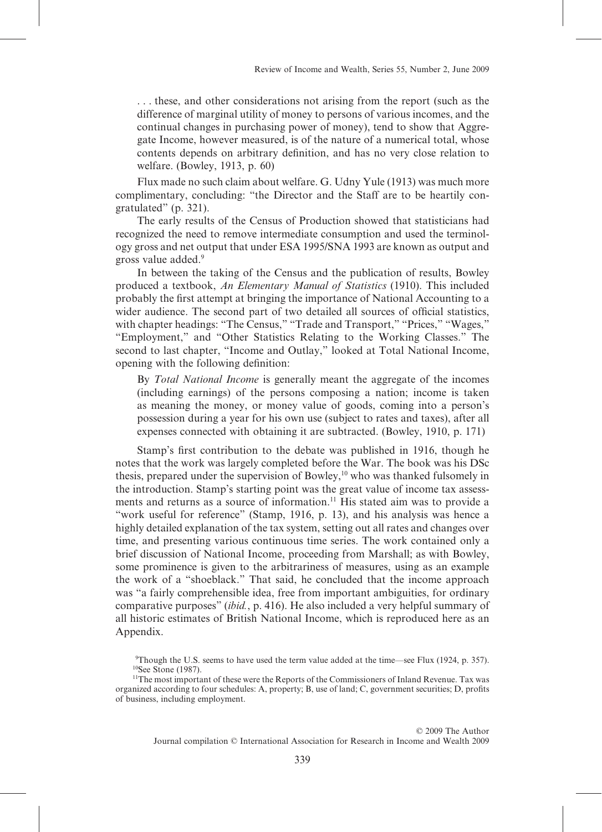. . . these, and other considerations not arising from the report (such as the difference of marginal utility of money to persons of various incomes, and the continual changes in purchasing power of money), tend to show that Aggregate Income, however measured, is of the nature of a numerical total, whose contents depends on arbitrary definition, and has no very close relation to welfare. (Bowley, 1913, p. 60)

Flux made no such claim about welfare. G. Udny Yule (1913) was much more complimentary, concluding: "the Director and the Staff are to be heartily congratulated" (p. 321).

The early results of the Census of Production showed that statisticians had recognized the need to remove intermediate consumption and used the terminology gross and net output that under ESA 1995/SNA 1993 are known as output and gross value added.<sup>9</sup>

In between the taking of the Census and the publication of results, Bowley produced a textbook, *An Elementary Manual of Statistics* (1910). This included probably the first attempt at bringing the importance of National Accounting to a wider audience. The second part of two detailed all sources of official statistics, with chapter headings: "The Census," "Trade and Transport," "Prices," "Wages," "Employment," and "Other Statistics Relating to the Working Classes." The second to last chapter, "Income and Outlay," looked at Total National Income, opening with the following definition:

By *Total National Income* is generally meant the aggregate of the incomes (including earnings) of the persons composing a nation; income is taken as meaning the money, or money value of goods, coming into a person's possession during a year for his own use (subject to rates and taxes), after all expenses connected with obtaining it are subtracted. (Bowley, 1910, p. 171)

Stamp's first contribution to the debate was published in 1916, though he notes that the work was largely completed before the War. The book was his DSc thesis, prepared under the supervision of Bowley,<sup>10</sup> who was thanked fulsomely in the introduction. Stamp's starting point was the great value of income tax assessments and returns as a source of information.<sup>11</sup> His stated aim was to provide a "work useful for reference" (Stamp, 1916, p. 13), and his analysis was hence a highly detailed explanation of the tax system, setting out all rates and changes over time, and presenting various continuous time series. The work contained only a brief discussion of National Income, proceeding from Marshall; as with Bowley, some prominence is given to the arbitrariness of measures, using as an example the work of a "shoeblack." That said, he concluded that the income approach was "a fairly comprehensible idea, free from important ambiguities, for ordinary comparative purposes" (*ibid.*, p. 416). He also included a very helpful summary of all historic estimates of British National Income, which is reproduced here as an Appendix.

<sup>9</sup> Though the U.S. seems to have used the term value added at the time—see Flux (1924, p. 357). <sup>10</sup>See Stone (1987).

<sup>&</sup>lt;sup>11</sup>The most important of these were the Reports of the Commissioners of Inland Revenue. Tax was organized according to four schedules: A, property; B, use of land; C, government securities; D, profits of business, including employment.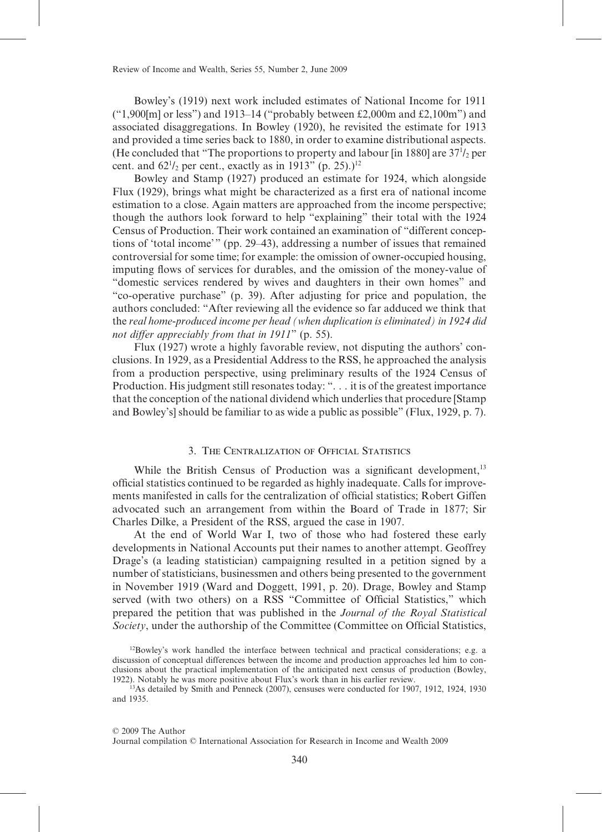Bowley's (1919) next work included estimates of National Income for 1911 ("1,900[m] or less") and 1913–14 ("probably between £2,000m and £2,100m") and associated disaggregations. In Bowley (1920), he revisited the estimate for 1913 and provided a time series back to 1880, in order to examine distributional aspects. (He concluded that "The proportions to property and labour [in 1880] are  $37^{1}/_2$  per cent. and  $62^{1/2}$  per cent., exactly as in 1913" (p. 25).)<sup>12</sup>

Bowley and Stamp (1927) produced an estimate for 1924, which alongside Flux (1929), brings what might be characterized as a first era of national income estimation to a close. Again matters are approached from the income perspective; though the authors look forward to help "explaining" their total with the 1924 Census of Production. Their work contained an examination of "different conceptions of 'total income'" (pp. 29–43), addressing a number of issues that remained controversial for some time; for example: the omission of owner-occupied housing, imputing flows of services for durables, and the omission of the money-value of "domestic services rendered by wives and daughters in their own homes" and "co-operative purchase" (p. 39). After adjusting for price and population, the authors concluded: "After reviewing all the evidence so far adduced we think that the *real home-produced income per head (when duplication is eliminated) in 1924 did not differ appreciably from that in 1911*" (p. 55).

Flux (1927) wrote a highly favorable review, not disputing the authors' conclusions. In 1929, as a Presidential Address to the RSS, he approached the analysis from a production perspective, using preliminary results of the 1924 Census of Production. His judgment still resonates today: ". . . it is of the greatest importance that the conception of the national dividend which underlies that procedure [Stamp and Bowley's] should be familiar to as wide a public as possible" (Flux, 1929, p. 7).

### 3. The Centralization of Official Statistics

While the British Census of Production was a significant development,<sup>13</sup> official statistics continued to be regarded as highly inadequate. Calls for improvements manifested in calls for the centralization of official statistics; Robert Giffen advocated such an arrangement from within the Board of Trade in 1877; Sir Charles Dilke, a President of the RSS, argued the case in 1907.

At the end of World War I, two of those who had fostered these early developments in National Accounts put their names to another attempt. Geoffrey Drage's (a leading statistician) campaigning resulted in a petition signed by a number of statisticians, businessmen and others being presented to the government in November 1919 (Ward and Doggett, 1991, p. 20). Drage, Bowley and Stamp served (with two others) on a RSS "Committee of Official Statistics," which prepared the petition that was published in the *Journal of the Royal Statistical Society*, under the authorship of the Committee (Committee on Official Statistics,

 $12$ Bowley's work handled the interface between technical and practical considerations; e.g. a discussion of conceptual differences between the income and production approaches led him to conclusions about the practical implementation of the anticipated next census of production (Bowley, 1922). Notably he was more positive about Flux's work than in his earlier review.

<sup>13</sup>As detailed by Smith and Penneck (2007), censuses were conducted for 1907, 1912, 1924, 1930 and 1935.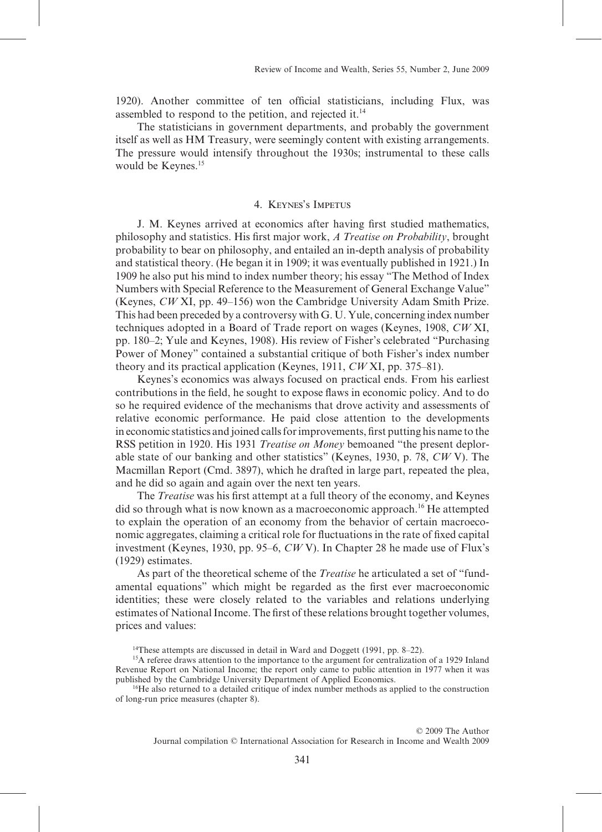1920). Another committee of ten official statisticians, including Flux, was assembled to respond to the petition, and rejected it.14

The statisticians in government departments, and probably the government itself as well as HM Treasury, were seemingly content with existing arrangements. The pressure would intensify throughout the 1930s; instrumental to these calls would be Keynes.<sup>15</sup>

### 4. Keynes's Impetus

J. M. Keynes arrived at economics after having first studied mathematics, philosophy and statistics. His first major work, *A Treatise on Probability*, brought probability to bear on philosophy, and entailed an in-depth analysis of probability and statistical theory. (He began it in 1909; it was eventually published in 1921.) In 1909 he also put his mind to index number theory; his essay "The Method of Index Numbers with Special Reference to the Measurement of General Exchange Value" (Keynes, *CW* XI, pp. 49–156) won the Cambridge University Adam Smith Prize. This had been preceded by a controversy with G. U. Yule, concerning index number techniques adopted in a Board of Trade report on wages (Keynes, 1908, *CW* XI, pp. 180–2; Yule and Keynes, 1908). His review of Fisher's celebrated "Purchasing Power of Money" contained a substantial critique of both Fisher's index number theory and its practical application (Keynes, 1911, *CW* XI, pp. 375–81).

Keynes's economics was always focused on practical ends. From his earliest contributions in the field, he sought to expose flaws in economic policy. And to do so he required evidence of the mechanisms that drove activity and assessments of relative economic performance. He paid close attention to the developments in economic statistics and joined calls for improvements, first putting his name to the RSS petition in 1920. His 1931 *Treatise on Money* bemoaned "the present deplorable state of our banking and other statistics" (Keynes, 1930, p. 78, *CW* V). The Macmillan Report (Cmd. 3897), which he drafted in large part, repeated the plea, and he did so again and again over the next ten years.

The *Treatise* was his first attempt at a full theory of the economy, and Keynes did so through what is now known as a macroeconomic approach.16 He attempted to explain the operation of an economy from the behavior of certain macroeconomic aggregates, claiming a critical role for fluctuations in the rate of fixed capital investment (Keynes, 1930, pp. 95–6, *CW* V). In Chapter 28 he made use of Flux's (1929) estimates.

As part of the theoretical scheme of the *Treatise* he articulated a set of "fundamental equations" which might be regarded as the first ever macroeconomic identities; these were closely related to the variables and relations underlying estimates of National Income. The first of these relations brought together volumes, prices and values:

<sup>16</sup>He also returned to a detailed critique of index number methods as applied to the construction of long-run price measures (chapter 8).

<sup>&</sup>lt;sup>14</sup>These attempts are discussed in detail in Ward and Doggett (1991, pp. 8–22).

<sup>&</sup>lt;sup>15</sup>A referee draws attention to the importance to the argument for centralization of a 1929 Inland Revenue Report on National Income; the report only came to public attention in 1977 when it was published by the Cambridge University Department of Applied Economics.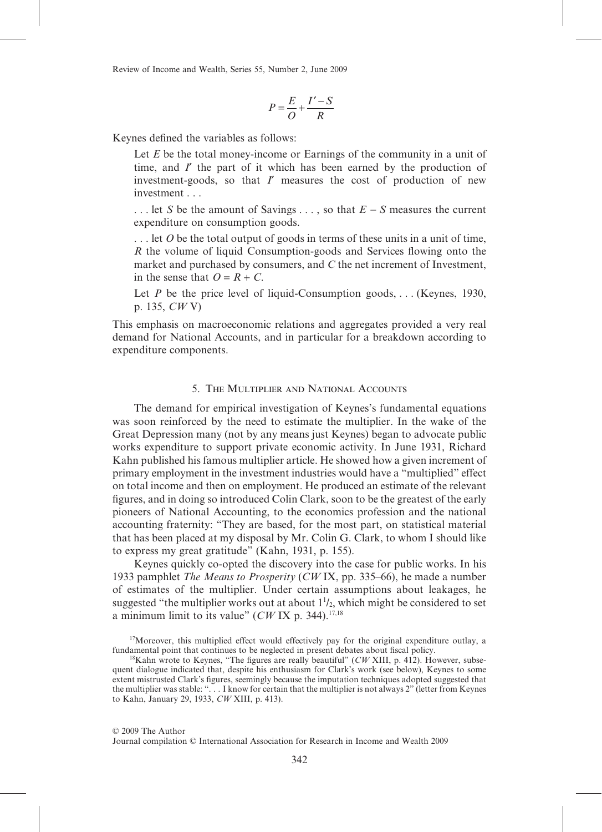$$
P = \frac{E}{O} + \frac{I' - S}{R}
$$

Keynes defined the variables as follows:

Let *E* be the total money-income or Earnings of the community in a unit of time, and *I*′ the part of it which has been earned by the production of investment-goods, so that *I*′ measures the cost of production of new investment...

. . . let *S* be the amount of Savings . . . , so that *E* - *S* measures the current expenditure on consumption goods.

. . . let *O* be the total output of goods in terms of these units in a unit of time, *R* the volume of liquid Consumption-goods and Services flowing onto the market and purchased by consumers, and *C* the net increment of Investment, in the sense that  $O = R + C$ .

Let *P* be the price level of liquid-Consumption goods,... (Keynes, 1930, p. 135, *CW* V)

This emphasis on macroeconomic relations and aggregates provided a very real demand for National Accounts, and in particular for a breakdown according to expenditure components.

#### 5. The Multiplier and National Accounts

The demand for empirical investigation of Keynes's fundamental equations was soon reinforced by the need to estimate the multiplier. In the wake of the Great Depression many (not by any means just Keynes) began to advocate public works expenditure to support private economic activity. In June 1931, Richard Kahn published his famous multiplier article. He showed how a given increment of primary employment in the investment industries would have a "multiplied" effect on total income and then on employment. He produced an estimate of the relevant figures, and in doing so introduced Colin Clark, soon to be the greatest of the early pioneers of National Accounting, to the economics profession and the national accounting fraternity: "They are based, for the most part, on statistical material that has been placed at my disposal by Mr. Colin G. Clark, to whom I should like to express my great gratitude" (Kahn, 1931, p. 155).

Keynes quickly co-opted the discovery into the case for public works. In his 1933 pamphlet *The Means to Prosperity* (*CW* IX, pp. 335–66), he made a number of estimates of the multiplier. Under certain assumptions about leakages, he suggested "the multiplier works out at about  $1\frac{1}{2}$ , which might be considered to set a minimum limit to its value" ( $CW$  IX p. 344).<sup>17,18</sup>

<sup>&</sup>lt;sup>17</sup>Moreover, this multiplied effect would effectively pay for the original expenditure outlay, a fundamental point that continues to be neglected in present debates about fiscal policy.

<sup>&</sup>lt;sup>18</sup>Kahn wrote to Keynes, "The figures are really beautiful" (*CW* XIII, p. 412). However, subsequent dialogue indicated that, despite his enthusiasm for Clark's work (see below), Keynes to some extent mistrusted Clark's figures, seemingly because the imputation techniques adopted suggested that the multiplier was stable: "...I know for certain that the multiplier is not always 2" (letter from Keynes to Kahn, January 29, 1933, *CW* XIII, p. 413).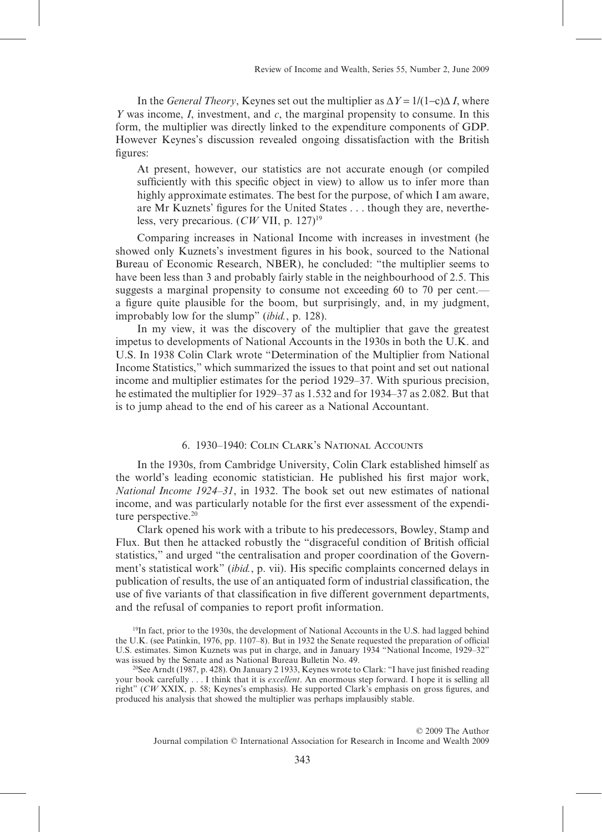In the *General Theory*, Keynes set out the multiplier as  $\Delta Y = 1/(1-c)\Delta I$ , where *Y* was income, *I*, investment, and *c*, the marginal propensity to consume. In this form, the multiplier was directly linked to the expenditure components of GDP. However Keynes's discussion revealed ongoing dissatisfaction with the British figures:

At present, however, our statistics are not accurate enough (or compiled sufficiently with this specific object in view) to allow us to infer more than highly approximate estimates. The best for the purpose, of which I am aware, are Mr Kuznets' figures for the United States... though they are, nevertheless, very precarious. (*CW* VII, p. 127)<sup>19</sup>

Comparing increases in National Income with increases in investment (he showed only Kuznets's investment figures in his book, sourced to the National Bureau of Economic Research, NBER), he concluded: "the multiplier seems to have been less than 3 and probably fairly stable in the neighbourhood of 2.5. This suggests a marginal propensity to consume not exceeding 60 to 70 per cent. a figure quite plausible for the boom, but surprisingly, and, in my judgment, improbably low for the slump" (*ibid.*, p. 128).

In my view, it was the discovery of the multiplier that gave the greatest impetus to developments of National Accounts in the 1930s in both the U.K. and U.S. In 1938 Colin Clark wrote "Determination of the Multiplier from National Income Statistics," which summarized the issues to that point and set out national income and multiplier estimates for the period 1929–37. With spurious precision, he estimated the multiplier for 1929–37 as 1.532 and for 1934–37 as 2.082. But that is to jump ahead to the end of his career as a National Accountant.

### 6. 1930–1940: Colin Clark's National Accounts

In the 1930s, from Cambridge University, Colin Clark established himself as the world's leading economic statistician. He published his first major work, *National Income 1924–31*, in 1932. The book set out new estimates of national income, and was particularly notable for the first ever assessment of the expenditure perspective.<sup>20</sup>

Clark opened his work with a tribute to his predecessors, Bowley, Stamp and Flux. But then he attacked robustly the "disgraceful condition of British official statistics," and urged "the centralisation and proper coordination of the Government's statistical work" (*ibid.*, p. vii). His specific complaints concerned delays in publication of results, the use of an antiquated form of industrial classification, the use of five variants of that classification in five different government departments, and the refusal of companies to report profit information.

<sup>20</sup>See Arndt (1987, p. 428). On January 2 1933, Keynes wrote to Clark: "I have just finished reading your book carefully...I think that it is *excellent*. An enormous step forward. I hope it is selling all right" (*CW* XXIX, p. 58; Keynes's emphasis). He supported Clark's emphasis on gross figures, and produced his analysis that showed the multiplier was perhaps implausibly stable.

<sup>&</sup>lt;sup>19</sup>In fact, prior to the 1930s, the development of National Accounts in the U.S. had lagged behind the U.K. (see Patinkin, 1976, pp. 1107–8). But in 1932 the Senate requested the preparation of official U.S. estimates. Simon Kuznets was put in charge, and in January 1934 "National Income, 1929–32" was issued by the Senate and as National Bureau Bulletin No. 49.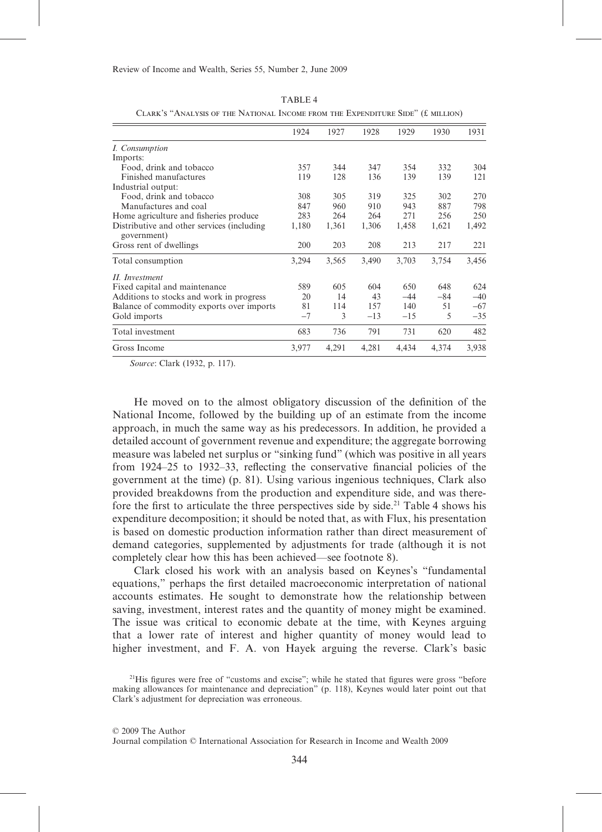|                                                           | 1924  | 1927  | 1928  | 1929  | 1930  | 1931  |
|-----------------------------------------------------------|-------|-------|-------|-------|-------|-------|
| I. Consumption                                            |       |       |       |       |       |       |
| Imports:                                                  |       |       |       |       |       |       |
| Food, drink and tobacco                                   | 357   | 344   | 347   | 354   | 332   | 304   |
| Finished manufactures                                     | 119   | 128   | 136   | 139   | 139   | 121   |
| Industrial output:                                        |       |       |       |       |       |       |
| Food, drink and tobacco                                   | 308   | 305   | 319   | 325   | 302   | 270   |
| Manufactures and coal                                     | 847   | 960   | 910   | 943   | 887   | 798   |
| Home agriculture and fisheries produce                    | 283   | 264   | 264   | 271   | 256   | 250   |
| Distributive and other services (including<br>government) | 1,180 | 1,361 | 1,306 | 1,458 | 1,621 | 1,492 |
| Gross rent of dwellings                                   | 200   | 203   | 208   | 213   | 217   | 221   |
| Total consumption                                         | 3,294 | 3,565 | 3,490 | 3,703 | 3,754 | 3,456 |
| II. Investment                                            |       |       |       |       |       |       |
| Fixed capital and maintenance                             | 589   | 605   | 604   | 650   | 648   | 624   |
| Additions to stocks and work in progress                  | 20    | 14    | 43    | $-44$ | $-84$ | $-40$ |
| Balance of commodity exports over imports                 | 81    | 114   | 157   | 140   | 51    | $-67$ |
| Gold imports                                              | $-7$  | 3     | $-13$ | $-15$ | 5     | $-35$ |
| Total investment                                          | 683   | 736   | 791   | 731   | 620   | 482   |
| Gross Income                                              | 3,977 | 4,291 | 4,281 | 4,434 | 4,374 | 3,938 |

TABLE 4 Clark's "Analysis of the National Income from the Expenditure Side" (£ million)

*Source*: Clark (1932, p. 117).

He moved on to the almost obligatory discussion of the definition of the National Income, followed by the building up of an estimate from the income approach, in much the same way as his predecessors. In addition, he provided a detailed account of government revenue and expenditure; the aggregate borrowing measure was labeled net surplus or "sinking fund" (which was positive in all years from 1924–25 to 1932–33, reflecting the conservative financial policies of the government at the time) (p. 81). Using various ingenious techniques, Clark also provided breakdowns from the production and expenditure side, and was therefore the first to articulate the three perspectives side by side.<sup>21</sup> Table 4 shows his expenditure decomposition; it should be noted that, as with Flux, his presentation is based on domestic production information rather than direct measurement of demand categories, supplemented by adjustments for trade (although it is not completely clear how this has been achieved—see footnote 8).

Clark closed his work with an analysis based on Keynes's "fundamental equations," perhaps the first detailed macroeconomic interpretation of national accounts estimates. He sought to demonstrate how the relationship between saving, investment, interest rates and the quantity of money might be examined. The issue was critical to economic debate at the time, with Keynes arguing that a lower rate of interest and higher quantity of money would lead to higher investment, and F. A. von Hayek arguing the reverse. Clark's basic

 $2<sup>1</sup>$ His figures were free of "customs and excise"; while he stated that figures were gross "before making allowances for maintenance and depreciation" (p. 118), Keynes would later point out that Clark's adjustment for depreciation was erroneous.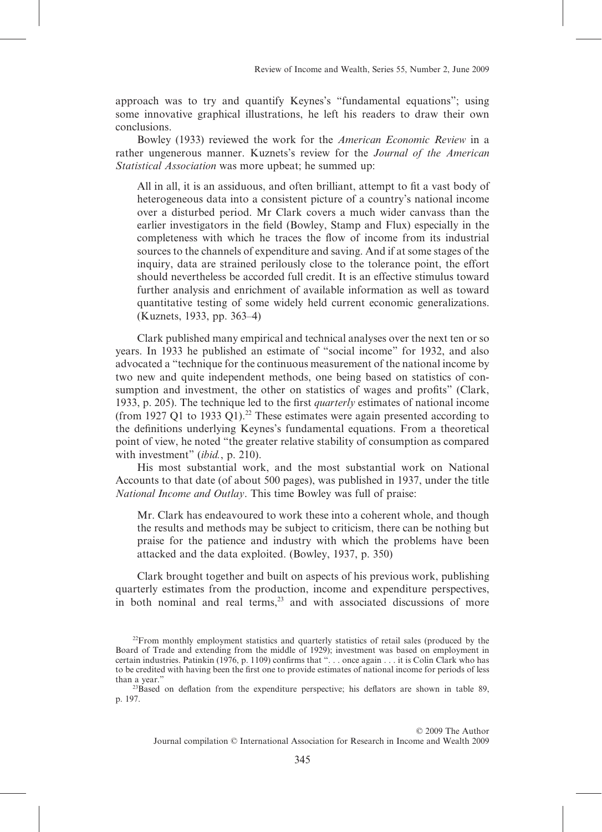approach was to try and quantify Keynes's "fundamental equations"; using some innovative graphical illustrations, he left his readers to draw their own conclusions.

Bowley (1933) reviewed the work for the *American Economic Review* in a rather ungenerous manner. Kuznets's review for the *Journal of the American Statistical Association* was more upbeat; he summed up:

All in all, it is an assiduous, and often brilliant, attempt to fit a vast body of heterogeneous data into a consistent picture of a country's national income over a disturbed period. Mr Clark covers a much wider canvass than the earlier investigators in the field (Bowley, Stamp and Flux) especially in the completeness with which he traces the flow of income from its industrial sources to the channels of expenditure and saving. And if at some stages of the inquiry, data are strained perilously close to the tolerance point, the effort should nevertheless be accorded full credit. It is an effective stimulus toward further analysis and enrichment of available information as well as toward quantitative testing of some widely held current economic generalizations. (Kuznets, 1933, pp. 363–4)

Clark published many empirical and technical analyses over the next ten or so years. In 1933 he published an estimate of "social income" for 1932, and also advocated a "technique for the continuous measurement of the national income by two new and quite independent methods, one being based on statistics of consumption and investment, the other on statistics of wages and profits" (Clark, 1933, p. 205). The technique led to the first *quarterly* estimates of national income (from 1927 Q1 to 1933 Q1).<sup>22</sup> These estimates were again presented according to the definitions underlying Keynes's fundamental equations. From a theoretical point of view, he noted "the greater relative stability of consumption as compared with investment" (*ibid.*, p. 210).

His most substantial work, and the most substantial work on National Accounts to that date (of about 500 pages), was published in 1937, under the title *National Income and Outlay*. This time Bowley was full of praise:

Mr. Clark has endeavoured to work these into a coherent whole, and though the results and methods may be subject to criticism, there can be nothing but praise for the patience and industry with which the problems have been attacked and the data exploited. (Bowley, 1937, p. 350)

Clark brought together and built on aspects of his previous work, publishing quarterly estimates from the production, income and expenditure perspectives, in both nominal and real terms, $2<sup>3</sup>$  and with associated discussions of more

<sup>23</sup>Based on deflation from the expenditure perspective; his deflators are shown in table 89, p. 197.

<sup>&</sup>lt;sup>22</sup>From monthly employment statistics and quarterly statistics of retail sales (produced by the Board of Trade and extending from the middle of 1929); investment was based on employment in certain industries. Patinkin (1976, p. 1109) confirms that ". . . once again . . . it is Colin Clark who has to be credited with having been the first one to provide estimates of national income for periods of less than a year."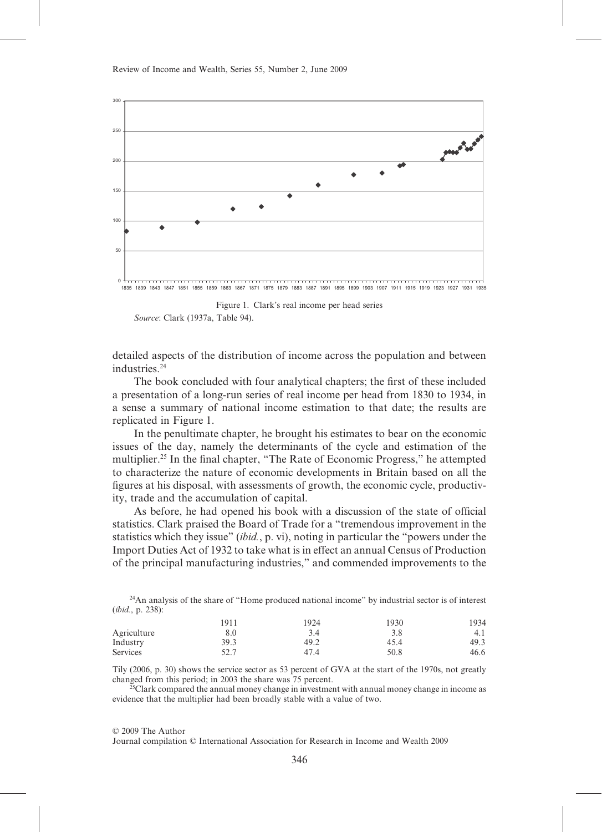

Figure 1. Clark's real income per head series *Source*: Clark (1937a, Table 94).

detailed aspects of the distribution of income across the population and between industries.<sup>24</sup>

The book concluded with four analytical chapters; the first of these included a presentation of a long-run series of real income per head from 1830 to 1934, in a sense a summary of national income estimation to that date; the results are replicated in Figure 1.

In the penultimate chapter, he brought his estimates to bear on the economic issues of the day, namely the determinants of the cycle and estimation of the multiplier.<sup>25</sup> In the final chapter, "The Rate of Economic Progress," he attempted to characterize the nature of economic developments in Britain based on all the figures at his disposal, with assessments of growth, the economic cycle, productivity, trade and the accumulation of capital.

As before, he had opened his book with a discussion of the state of official statistics. Clark praised the Board of Trade for a "tremendous improvement in the statistics which they issue" (*ibid.*, p. vi), noting in particular the "powers under the Import Duties Act of 1932 to take what is in effect an annual Census of Production of the principal manufacturing industries," and commended improvements to the

<sup>24</sup>An analysis of the share of "Home produced national income" by industrial sector is of interest (*ibid.*, p. 238):

|             | 1911 | 1924 | 1930 | 934  |
|-------------|------|------|------|------|
| Agriculture | 8.0  | 3.4  | 3.8  | 4.1  |
| Industry    | 39.3 | 49.2 | 45.4 | 49.3 |
| Services    | 52.7 | 47.4 | 50.8 | 46.6 |

Tily (2006, p. 30) shows the service sector as 53 percent of GVA at the start of the 1970s, not greatly changed from this period; in 2003 the share was 75 percent.

 $^{25}$ Clark compared the annual money change in investment with annual money change in income as evidence that the multiplier had been broadly stable with a value of two.

#### © 2009 The Author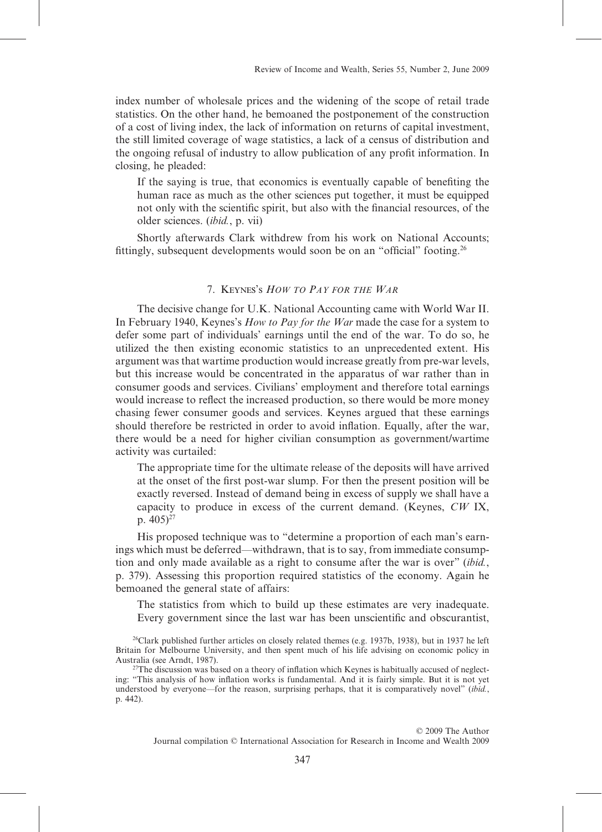index number of wholesale prices and the widening of the scope of retail trade statistics. On the other hand, he bemoaned the postponement of the construction of a cost of living index, the lack of information on returns of capital investment, the still limited coverage of wage statistics, a lack of a census of distribution and the ongoing refusal of industry to allow publication of any profit information. In closing, he pleaded:

If the saying is true, that economics is eventually capable of benefiting the human race as much as the other sciences put together, it must be equipped not only with the scientific spirit, but also with the financial resources, of the older sciences. (*ibid.*, p. vii)

Shortly afterwards Clark withdrew from his work on National Accounts; fittingly, subsequent developments would soon be on an "official" footing.26

#### 7. Keynes's *HOW TO PAY FOR THE WAR*

The decisive change for U.K. National Accounting came with World War II. In February 1940, Keynes's *How to Pay for the War* made the case for a system to defer some part of individuals' earnings until the end of the war. To do so, he utilized the then existing economic statistics to an unprecedented extent. His argument was that wartime production would increase greatly from pre-war levels, but this increase would be concentrated in the apparatus of war rather than in consumer goods and services. Civilians' employment and therefore total earnings would increase to reflect the increased production, so there would be more money chasing fewer consumer goods and services. Keynes argued that these earnings should therefore be restricted in order to avoid inflation. Equally, after the war, there would be a need for higher civilian consumption as government/wartime activity was curtailed:

The appropriate time for the ultimate release of the deposits will have arrived at the onset of the first post-war slump. For then the present position will be exactly reversed. Instead of demand being in excess of supply we shall have a capacity to produce in excess of the current demand. (Keynes, *CW* IX, p.  $405)^{27}$ 

His proposed technique was to "determine a proportion of each man's earnings which must be deferred—withdrawn, that is to say, from immediate consumption and only made available as a right to consume after the war is over" (*ibid.*, p. 379). Assessing this proportion required statistics of the economy. Again he bemoaned the general state of affairs:

The statistics from which to build up these estimates are very inadequate. Every government since the last war has been unscientific and obscurantist,

 $26$ Clark published further articles on closely related themes (e.g. 1937b, 1938), but in 1937 he left Britain for Melbourne University, and then spent much of his life advising on economic policy in Australia (see Arndt, 1987).

<sup>&</sup>lt;sup>27</sup>The discussion was based on a theory of inflation which Keynes is habitually accused of neglecting: "This analysis of how inflation works is fundamental. And it is fairly simple. But it is not yet understood by everyone—for the reason, surprising perhaps, that it is comparatively novel" (*ibid.*, p. 442).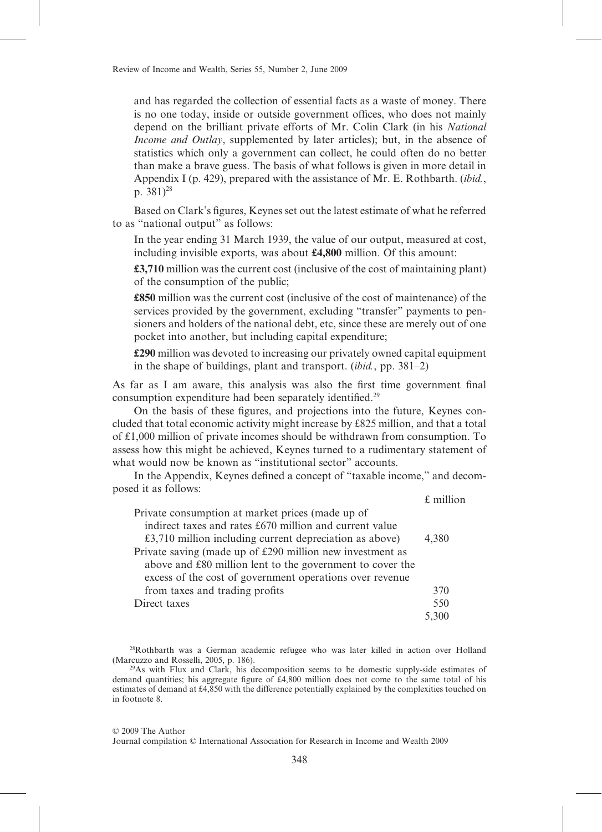and has regarded the collection of essential facts as a waste of money. There is no one today, inside or outside government offices, who does not mainly depend on the brilliant private efforts of Mr. Colin Clark (in his *National Income and Outlay*, supplemented by later articles); but, in the absence of statistics which only a government can collect, he could often do no better than make a brave guess. The basis of what follows is given in more detail in Appendix I (p. 429), prepared with the assistance of Mr. E. Rothbarth. (*ibid.*, p.  $381$ <sup>28</sup>

Based on Clark's figures, Keynes set out the latest estimate of what he referred to as "national output" as follows:

In the year ending 31 March 1939, the value of our output, measured at cost, including invisible exports, was about **£4,800** million. Of this amount:

**£3,710** million was the current cost (inclusive of the cost of maintaining plant) of the consumption of the public;

**£850** million was the current cost (inclusive of the cost of maintenance) of the services provided by the government, excluding "transfer" payments to pensioners and holders of the national debt, etc, since these are merely out of one pocket into another, but including capital expenditure;

**£290** million was devoted to increasing our privately owned capital equipment in the shape of buildings, plant and transport. (*ibid.*, pp. 381–2)

As far as I am aware, this analysis was also the first time government final consumption expenditure had been separately identified.<sup>29</sup>

On the basis of these figures, and projections into the future, Keynes concluded that total economic activity might increase by £825 million, and that a total of £1,000 million of private incomes should be withdrawn from consumption. To assess how this might be achieved, Keynes turned to a rudimentary statement of what would now be known as "institutional sector" accounts.

In the Appendix, Keynes defined a concept of "taxable income," and decomposed it as follows:

|                                                           | £ million |
|-----------------------------------------------------------|-----------|
| Private consumption at market prices (made up of          |           |
| indirect taxes and rates £670 million and current value   |           |
| £3,710 million including current depreciation as above)   | 4.380     |
| Private saving (made up of £290 million new investment as |           |
| above and £80 million lent to the government to cover the |           |
| excess of the cost of government operations over revenue  |           |
| from taxes and trading profits                            | 370       |
| Direct taxes                                              | 550       |
|                                                           | 5.300     |

28Rothbarth was a German academic refugee who was later killed in action over Holland (Marcuzzo and Rosselli, 2005, p. 186).

 $29\text{As}$  with Flux and Clark, his decomposition seems to be domestic supply-side estimates of demand quantities; his aggregate figure of £4,800 million does not come to the same total of his estimates of demand at £4,850 with the difference potentially explained by the complexities touched on in footnote 8.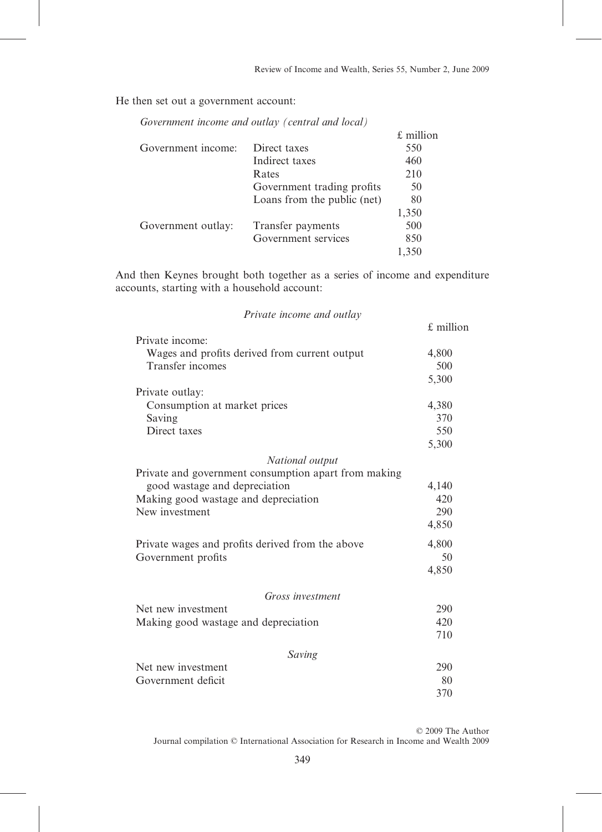He then set out a government account:

*Government income and outlay (central and local)*

|                    |                             | $£$ million |
|--------------------|-----------------------------|-------------|
| Government income: | Direct taxes                | 550         |
|                    | Indirect taxes              | 460         |
|                    | Rates                       | 210         |
|                    | Government trading profits  | 50          |
|                    | Loans from the public (net) | 80          |
|                    |                             | 1,350       |
| Government outlay: | Transfer payments           | 500         |
|                    | Government services         | 850         |
|                    |                             | 1,350       |

And then Keynes brought both together as a series of income and expenditure accounts, starting with a household account:

| Private income and outlay                            |             |
|------------------------------------------------------|-------------|
|                                                      | $£$ million |
| Private income:                                      |             |
| Wages and profits derived from current output        | 4,800       |
| <b>Transfer</b> incomes                              | 500         |
|                                                      | 5,300       |
| Private outlay:                                      |             |
| Consumption at market prices                         | 4,380       |
| Saving                                               | 370         |
| Direct taxes                                         | 550         |
|                                                      | 5,300       |
| National output                                      |             |
| Private and government consumption apart from making |             |
| good wastage and depreciation                        | 4,140       |
| Making good wastage and depreciation                 | 420         |
| New investment                                       | 290         |
|                                                      | 4,850       |
| Private wages and profits derived from the above     | 4,800       |
| Government profits                                   | 50          |
|                                                      | 4,850       |
| Gross investment                                     |             |
| Net new investment                                   | 290         |
| Making good wastage and depreciation                 | 420         |
|                                                      | 710         |
| Saving                                               |             |
| Net new investment                                   | 290         |
| Government deficit                                   | 80          |
|                                                      | 370         |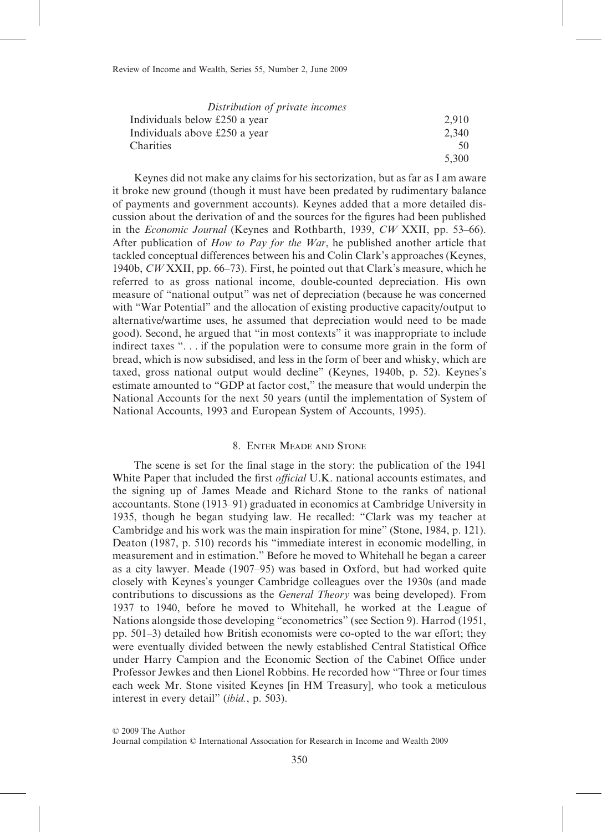| Distribution of private incomes |       |
|---------------------------------|-------|
| Individuals below £250 a year   | 2.910 |
| Individuals above £250 a year   | 2.340 |
| Charities                       | 50    |
|                                 | 5.300 |

Keynes did not make any claims for his sectorization, but as far as I am aware it broke new ground (though it must have been predated by rudimentary balance of payments and government accounts). Keynes added that a more detailed discussion about the derivation of and the sources for the figures had been published in the *Economic Journal* (Keynes and Rothbarth, 1939, *CW* XXII, pp. 53–66). After publication of *How to Pay for the War*, he published another article that tackled conceptual differences between his and Colin Clark's approaches (Keynes, 1940b, *CW* XXII, pp. 66–73). First, he pointed out that Clark's measure, which he referred to as gross national income, double-counted depreciation. His own measure of "national output" was net of depreciation (because he was concerned with "War Potential" and the allocation of existing productive capacity/output to alternative/wartime uses, he assumed that depreciation would need to be made good). Second, he argued that "in most contexts" it was inappropriate to include indirect taxes ". . . if the population were to consume more grain in the form of bread, which is now subsidised, and less in the form of beer and whisky, which are taxed, gross national output would decline" (Keynes, 1940b, p. 52). Keynes's estimate amounted to "GDP at factor cost," the measure that would underpin the National Accounts for the next 50 years (until the implementation of System of National Accounts, 1993 and European System of Accounts, 1995).

## 8. Enter Meade and Stone

The scene is set for the final stage in the story: the publication of the 1941 White Paper that included the first *official* U.K. national accounts estimates, and the signing up of James Meade and Richard Stone to the ranks of national accountants. Stone (1913–91) graduated in economics at Cambridge University in 1935, though he began studying law. He recalled: "Clark was my teacher at Cambridge and his work was the main inspiration for mine" (Stone, 1984, p. 121). Deaton (1987, p. 510) records his "immediate interest in economic modelling, in measurement and in estimation." Before he moved to Whitehall he began a career as a city lawyer. Meade (1907–95) was based in Oxford, but had worked quite closely with Keynes's younger Cambridge colleagues over the 1930s (and made contributions to discussions as the *General Theory* was being developed). From 1937 to 1940, before he moved to Whitehall, he worked at the League of Nations alongside those developing "econometrics" (see Section 9). Harrod (1951, pp. 501–3) detailed how British economists were co-opted to the war effort; they were eventually divided between the newly established Central Statistical Office under Harry Campion and the Economic Section of the Cabinet Office under Professor Jewkes and then Lionel Robbins. He recorded how "Three or four times each week Mr. Stone visited Keynes [in HM Treasury], who took a meticulous interest in every detail" (*ibid.*, p. 503).

© 2009 The Author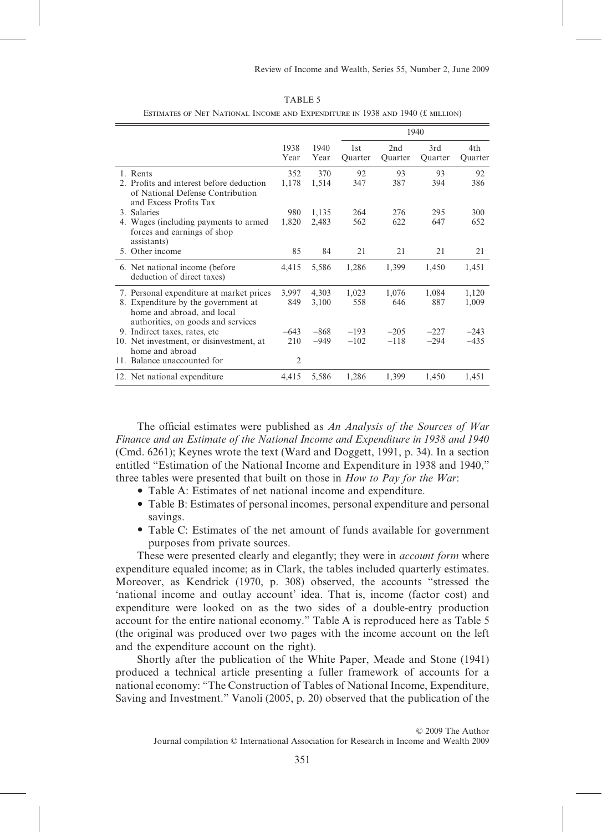| $\sim$ |
|--------|
|--------|

Estimates of Net National Income and Expenditure in 1938 and 1940 (£ million)

|             |                                                                                                                                                     |                |                  |                       |                            | 1940             |                  |
|-------------|-----------------------------------------------------------------------------------------------------------------------------------------------------|----------------|------------------|-----------------------|----------------------------|------------------|------------------|
|             |                                                                                                                                                     | 1938<br>Year   | 1940<br>Year     | 1st<br><b>Ouarter</b> | 2 <sub>nd</sub><br>Quarter | 3rd<br>Ouarter   | 4th<br>Ouarter   |
| 1. Rents    | 2. Profits and interest before deduction<br>of National Defense Contribution<br>and Excess Profits Tax                                              | 352<br>1,178   | 370<br>1,514     | 92<br>347             | 93<br>387                  | 93<br>394        | 92<br>386        |
| 3. Salaries | 4. Wages (including payments to armed<br>forces and earnings of shop<br>assistants)                                                                 | 980<br>1,820   | 1,135<br>2,483   | 264<br>562            | 276<br>622                 | 295<br>647       | 300<br>652       |
|             | 5. Other income<br>6. Net national income (before)                                                                                                  | 85<br>4,415    | 84<br>5,586      | 21<br>1,286           | 21<br>1,399                | 21<br>1,450      | 21<br>1,451      |
|             | deduction of direct taxes)                                                                                                                          |                |                  |                       |                            |                  |                  |
|             | 7. Personal expenditure at market prices<br>8. Expenditure by the government at<br>home and abroad, and local<br>authorities, on goods and services | 3,997<br>849   | 4,303<br>3,100   | 1,023<br>558          | 1,076<br>646               | 1,084<br>887     | 1,120<br>1,009   |
|             | 9. Indirect taxes, rates, etc.<br>10. Net investment, or disinvestment, at<br>home and abroad                                                       | $-643$<br>210  | $-868$<br>$-949$ | $-193$<br>$-102$      | $-205$<br>$-118$           | $-227$<br>$-294$ | $-243$<br>$-435$ |
|             | 11. Balance unaccounted for                                                                                                                         | $\overline{2}$ |                  |                       |                            |                  |                  |
|             | 12. Net national expenditure                                                                                                                        | 4,415          | 5,586            | 1,286                 | 1,399                      | 1,450            | 1,451            |

The official estimates were published as *An Analysis of the Sources of War Finance and an Estimate of the National Income and Expenditure in 1938 and 1940* (Cmd. 6261); Keynes wrote the text (Ward and Doggett, 1991, p. 34). In a section entitled "Estimation of the National Income and Expenditure in 1938 and 1940," three tables were presented that built on those in *How to Pay for the War*:

- Table A: Estimates of net national income and expenditure.
- Table B: Estimates of personal incomes, personal expenditure and personal savings.
- Table C: Estimates of the net amount of funds available for government purposes from private sources.

These were presented clearly and elegantly; they were in *account form* where expenditure equaled income; as in Clark, the tables included quarterly estimates. Moreover, as Kendrick (1970, p. 308) observed, the accounts "stressed the 'national income and outlay account' idea. That is, income (factor cost) and expenditure were looked on as the two sides of a double-entry production account for the entire national economy." Table A is reproduced here as Table 5 (the original was produced over two pages with the income account on the left and the expenditure account on the right).

Shortly after the publication of the White Paper, Meade and Stone (1941) produced a technical article presenting a fuller framework of accounts for a national economy: "The Construction of Tables of National Income, Expenditure, Saving and Investment." Vanoli (2005, p. 20) observed that the publication of the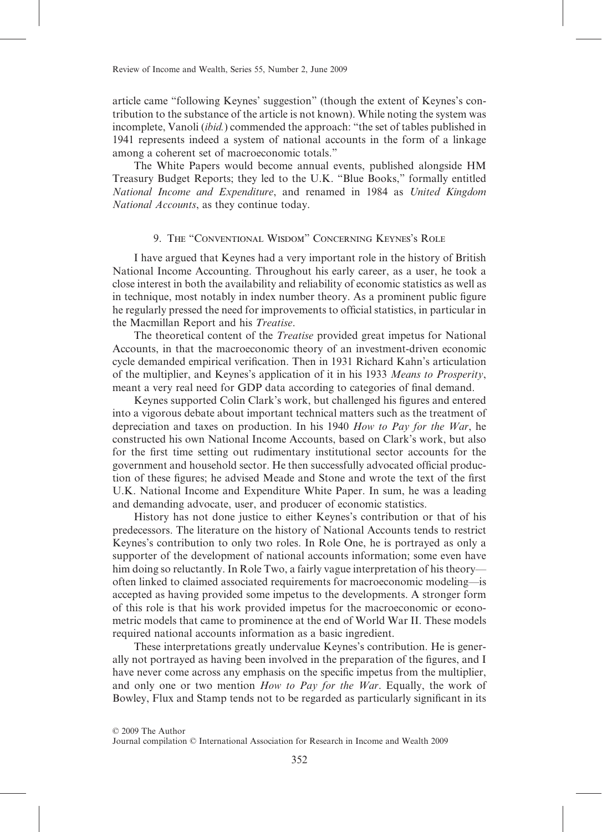article came "following Keynes' suggestion" (though the extent of Keynes's contribution to the substance of the article is not known). While noting the system was incomplete, Vanoli (*ibid.*) commended the approach: "the set of tables published in 1941 represents indeed a system of national accounts in the form of a linkage among a coherent set of macroeconomic totals."

The White Papers would become annual events, published alongside HM Treasury Budget Reports; they led to the U.K. "Blue Books," formally entitled *National Income and Expenditure*, and renamed in 1984 as *United Kingdom National Accounts*, as they continue today.

## 9. The "Conventional Wisdom" Concerning Keynes's Role

I have argued that Keynes had a very important role in the history of British National Income Accounting. Throughout his early career, as a user, he took a close interest in both the availability and reliability of economic statistics as well as in technique, most notably in index number theory. As a prominent public figure he regularly pressed the need for improvements to official statistics, in particular in the Macmillan Report and his *Treatise*.

The theoretical content of the *Treatise* provided great impetus for National Accounts, in that the macroeconomic theory of an investment-driven economic cycle demanded empirical verification. Then in 1931 Richard Kahn's articulation of the multiplier, and Keynes's application of it in his 1933 *Means to Prosperity*, meant a very real need for GDP data according to categories of final demand.

Keynes supported Colin Clark's work, but challenged his figures and entered into a vigorous debate about important technical matters such as the treatment of depreciation and taxes on production. In his 1940 *How to Pay for the War*, he constructed his own National Income Accounts, based on Clark's work, but also for the first time setting out rudimentary institutional sector accounts for the government and household sector. He then successfully advocated official production of these figures; he advised Meade and Stone and wrote the text of the first U.K. National Income and Expenditure White Paper. In sum, he was a leading and demanding advocate, user, and producer of economic statistics.

History has not done justice to either Keynes's contribution or that of his predecessors. The literature on the history of National Accounts tends to restrict Keynes's contribution to only two roles. In Role One, he is portrayed as only a supporter of the development of national accounts information; some even have him doing so reluctantly. In Role Two, a fairly vague interpretation of his theory often linked to claimed associated requirements for macroeconomic modeling—is accepted as having provided some impetus to the developments. A stronger form of this role is that his work provided impetus for the macroeconomic or econometric models that came to prominence at the end of World War II. These models required national accounts information as a basic ingredient.

These interpretations greatly undervalue Keynes's contribution. He is generally not portrayed as having been involved in the preparation of the figures, and I have never come across any emphasis on the specific impetus from the multiplier, and only one or two mention *How to Pay for the War*. Equally, the work of Bowley, Flux and Stamp tends not to be regarded as particularly significant in its

<sup>© 2009</sup> The Author

Journal compilation © International Association for Research in Income and Wealth 2009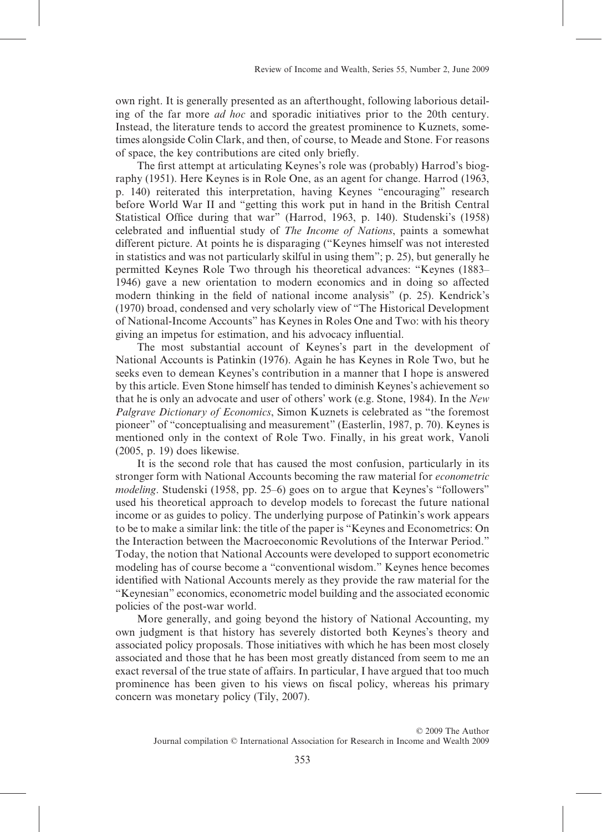own right. It is generally presented as an afterthought, following laborious detailing of the far more *ad hoc* and sporadic initiatives prior to the 20th century. Instead, the literature tends to accord the greatest prominence to Kuznets, sometimes alongside Colin Clark, and then, of course, to Meade and Stone. For reasons of space, the key contributions are cited only briefly.

The first attempt at articulating Keynes's role was (probably) Harrod's biography (1951). Here Keynes is in Role One, as an agent for change. Harrod (1963, p. 140) reiterated this interpretation, having Keynes "encouraging" research before World War II and "getting this work put in hand in the British Central Statistical Office during that war" (Harrod, 1963, p. 140). Studenski's (1958) celebrated and influential study of *The Income of Nations*, paints a somewhat different picture. At points he is disparaging ("Keynes himself was not interested in statistics and was not particularly skilful in using them"; p. 25), but generally he permitted Keynes Role Two through his theoretical advances: "Keynes (1883– 1946) gave a new orientation to modern economics and in doing so affected modern thinking in the field of national income analysis" (p. 25). Kendrick's (1970) broad, condensed and very scholarly view of "The Historical Development of National-Income Accounts" has Keynes in Roles One and Two: with his theory giving an impetus for estimation, and his advocacy influential.

The most substantial account of Keynes's part in the development of National Accounts is Patinkin (1976). Again he has Keynes in Role Two, but he seeks even to demean Keynes's contribution in a manner that I hope is answered by this article. Even Stone himself has tended to diminish Keynes's achievement so that he is only an advocate and user of others' work (e.g. Stone, 1984). In the *New Palgrave Dictionary of Economics*, Simon Kuznets is celebrated as "the foremost pioneer" of "conceptualising and measurement" (Easterlin, 1987, p. 70). Keynes is mentioned only in the context of Role Two. Finally, in his great work, Vanoli (2005, p. 19) does likewise.

It is the second role that has caused the most confusion, particularly in its stronger form with National Accounts becoming the raw material for *econometric modeling*. Studenski (1958, pp. 25–6) goes on to argue that Keynes's "followers" used his theoretical approach to develop models to forecast the future national income or as guides to policy. The underlying purpose of Patinkin's work appears to be to make a similar link: the title of the paper is "Keynes and Econometrics: On the Interaction between the Macroeconomic Revolutions of the Interwar Period." Today, the notion that National Accounts were developed to support econometric modeling has of course become a "conventional wisdom." Keynes hence becomes identified with National Accounts merely as they provide the raw material for the "Keynesian" economics, econometric model building and the associated economic policies of the post-war world.

More generally, and going beyond the history of National Accounting, my own judgment is that history has severely distorted both Keynes's theory and associated policy proposals. Those initiatives with which he has been most closely associated and those that he has been most greatly distanced from seem to me an exact reversal of the true state of affairs. In particular, I have argued that too much prominence has been given to his views on fiscal policy, whereas his primary concern was monetary policy (Tily, 2007).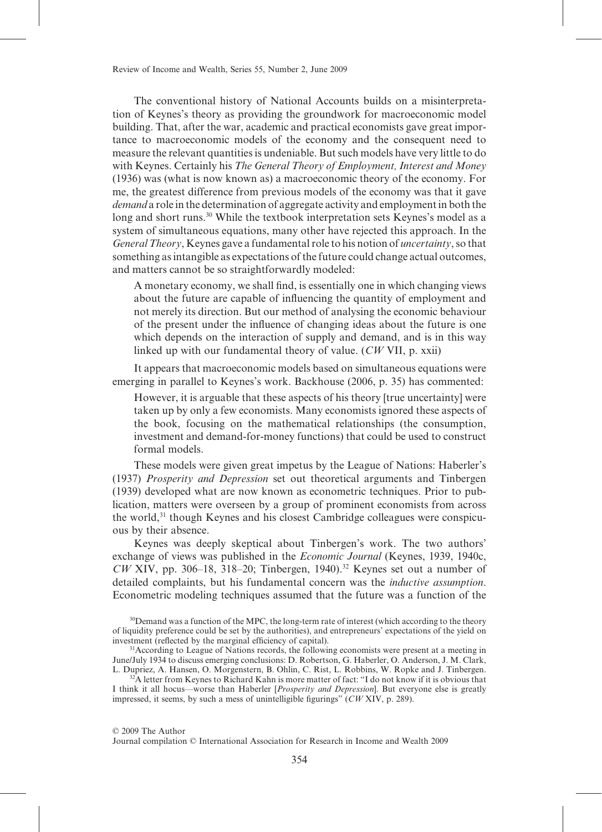The conventional history of National Accounts builds on a misinterpretation of Keynes's theory as providing the groundwork for macroeconomic model building. That, after the war, academic and practical economists gave great importance to macroeconomic models of the economy and the consequent need to measure the relevant quantities is undeniable. But such models have very little to do with Keynes. Certainly his *The General Theory of Employment, Interest and Money* (1936) was (what is now known as) a macroeconomic theory of the economy. For me, the greatest difference from previous models of the economy was that it gave *demand* a role in the determination of aggregate activity and employment in both the long and short runs.<sup>30</sup> While the textbook interpretation sets Keynes's model as a system of simultaneous equations, many other have rejected this approach. In the *General Theory*, Keynes gave a fundamental role to his notion of *uncertainty*, so that something as intangible as expectations of the future could change actual outcomes, and matters cannot be so straightforwardly modeled:

A monetary economy, we shall find, is essentially one in which changing views about the future are capable of influencing the quantity of employment and not merely its direction. But our method of analysing the economic behaviour of the present under the influence of changing ideas about the future is one which depends on the interaction of supply and demand, and is in this way linked up with our fundamental theory of value. (*CW* VII, p. xxii)

It appears that macroeconomic models based on simultaneous equations were emerging in parallel to Keynes's work. Backhouse (2006, p. 35) has commented:

However, it is arguable that these aspects of his theory [true uncertainty] were taken up by only a few economists. Many economists ignored these aspects of the book, focusing on the mathematical relationships (the consumption, investment and demand-for-money functions) that could be used to construct formal models.

These models were given great impetus by the League of Nations: Haberler's (1937) *Prosperity and Depression* set out theoretical arguments and Tinbergen (1939) developed what are now known as econometric techniques. Prior to publication, matters were overseen by a group of prominent economists from across the world,<sup>31</sup> though Keynes and his closest Cambridge colleagues were conspicuous by their absence.

Keynes was deeply skeptical about Tinbergen's work. The two authors' exchange of views was published in the *Economic Journal* (Keynes, 1939, 1940c, *CW* XIV, pp. 306–18, 318–20; Tinbergen, 1940).<sup>32</sup> Keynes set out a number of detailed complaints, but his fundamental concern was the *inductive assumption*. Econometric modeling techniques assumed that the future was a function of the

<sup>32</sup>A letter from Keynes to Richard Kahn is more matter of fact: "I do not know if it is obvious that I think it all hocus—worse than Haberler [*Prosperity and Depression*]. But everyone else is greatly impressed, it seems, by such a mess of unintelligible figurings" (*CW* XIV, p. 289).

<sup>&</sup>lt;sup>30</sup>Demand was a function of the MPC, the long-term rate of interest (which according to the theory of liquidity preference could be set by the authorities), and entrepreneurs' expectations of the yield on investment (reflected by the marginal efficiency of capital).

<sup>&</sup>lt;sup>31</sup> According to League of Nations records, the following economists were present at a meeting in June/July 1934 to discuss emerging conclusions: D. Robertson, G. Haberler, O. Anderson, J. M. Clark, L. Dupriez, A. Hansen, O. Morgenstern, B. Ohlin, C. Rist, L. Robbins, W. Ropke and J. Tinbergen.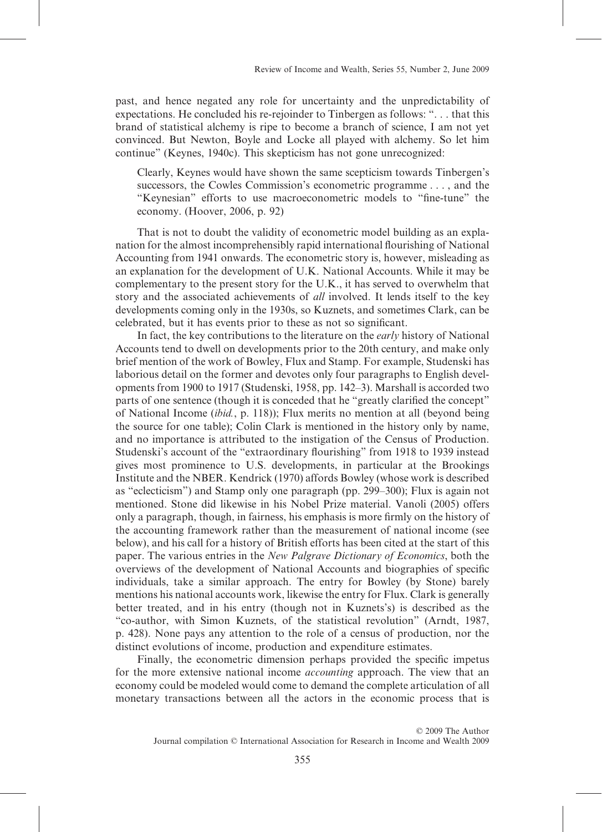past, and hence negated any role for uncertainty and the unpredictability of expectations. He concluded his re-rejoinder to Tinbergen as follows: ". . . that this brand of statistical alchemy is ripe to become a branch of science, I am not yet convinced. But Newton, Boyle and Locke all played with alchemy. So let him continue" (Keynes, 1940c). This skepticism has not gone unrecognized:

Clearly, Keynes would have shown the same scepticism towards Tinbergen's successors, the Cowles Commission's econometric programme . . . , and the "Keynesian" efforts to use macroeconometric models to "fine-tune" the economy. (Hoover, 2006, p. 92)

That is not to doubt the validity of econometric model building as an explanation for the almost incomprehensibly rapid international flourishing of National Accounting from 1941 onwards. The econometric story is, however, misleading as an explanation for the development of U.K. National Accounts. While it may be complementary to the present story for the U.K., it has served to overwhelm that story and the associated achievements of *all* involved. It lends itself to the key developments coming only in the 1930s, so Kuznets, and sometimes Clark, can be celebrated, but it has events prior to these as not so significant.

In fact, the key contributions to the literature on the *early* history of National Accounts tend to dwell on developments prior to the 20th century, and make only brief mention of the work of Bowley, Flux and Stamp. For example, Studenski has laborious detail on the former and devotes only four paragraphs to English developments from 1900 to 1917 (Studenski, 1958, pp. 142–3). Marshall is accorded two parts of one sentence (though it is conceded that he "greatly clarified the concept" of National Income (*ibid.*, p. 118)); Flux merits no mention at all (beyond being the source for one table); Colin Clark is mentioned in the history only by name, and no importance is attributed to the instigation of the Census of Production. Studenski's account of the "extraordinary flourishing" from 1918 to 1939 instead gives most prominence to U.S. developments, in particular at the Brookings Institute and the NBER. Kendrick (1970) affords Bowley (whose work is described as "eclecticism") and Stamp only one paragraph (pp. 299–300); Flux is again not mentioned. Stone did likewise in his Nobel Prize material. Vanoli (2005) offers only a paragraph, though, in fairness, his emphasis is more firmly on the history of the accounting framework rather than the measurement of national income (see below), and his call for a history of British efforts has been cited at the start of this paper. The various entries in the *New Palgrave Dictionary of Economics*, both the overviews of the development of National Accounts and biographies of specific individuals, take a similar approach. The entry for Bowley (by Stone) barely mentions his national accounts work, likewise the entry for Flux. Clark is generally better treated, and in his entry (though not in Kuznets's) is described as the "co-author, with Simon Kuznets, of the statistical revolution" (Arndt, 1987, p. 428). None pays any attention to the role of a census of production, nor the distinct evolutions of income, production and expenditure estimates.

Finally, the econometric dimension perhaps provided the specific impetus for the more extensive national income *accounting* approach. The view that an economy could be modeled would come to demand the complete articulation of all monetary transactions between all the actors in the economic process that is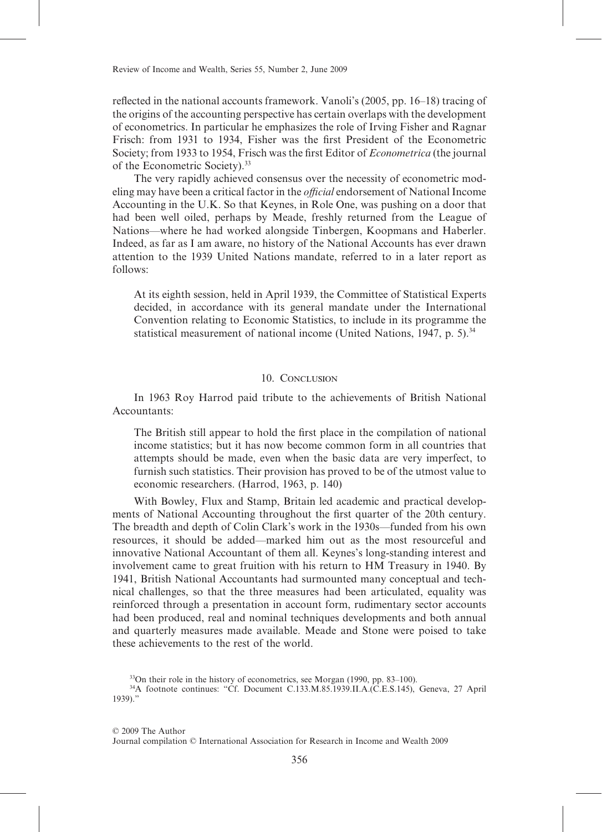reflected in the national accounts framework. Vanoli's (2005, pp. 16–18) tracing of the origins of the accounting perspective has certain overlaps with the development of econometrics. In particular he emphasizes the role of Irving Fisher and Ragnar Frisch: from 1931 to 1934, Fisher was the first President of the Econometric Society; from 1933 to 1954, Frisch was the first Editor of *Econometrica* (the journal of the Econometric Society).33

The very rapidly achieved consensus over the necessity of econometric modeling may have been a critical factor in the *official* endorsement of National Income Accounting in the U.K. So that Keynes, in Role One, was pushing on a door that had been well oiled, perhaps by Meade, freshly returned from the League of Nations—where he had worked alongside Tinbergen, Koopmans and Haberler. Indeed, as far as I am aware, no history of the National Accounts has ever drawn attention to the 1939 United Nations mandate, referred to in a later report as follows:

At its eighth session, held in April 1939, the Committee of Statistical Experts decided, in accordance with its general mandate under the International Convention relating to Economic Statistics, to include in its programme the statistical measurement of national income (United Nations, 1947, p. 5).<sup>34</sup>

## 10. CONCLUSION

In 1963 Roy Harrod paid tribute to the achievements of British National Accountants:

The British still appear to hold the first place in the compilation of national income statistics; but it has now become common form in all countries that attempts should be made, even when the basic data are very imperfect, to furnish such statistics. Their provision has proved to be of the utmost value to economic researchers. (Harrod, 1963, p. 140)

With Bowley, Flux and Stamp, Britain led academic and practical developments of National Accounting throughout the first quarter of the 20th century. The breadth and depth of Colin Clark's work in the 1930s—funded from his own resources, it should be added—marked him out as the most resourceful and innovative National Accountant of them all. Keynes's long-standing interest and involvement came to great fruition with his return to HM Treasury in 1940. By 1941, British National Accountants had surmounted many conceptual and technical challenges, so that the three measures had been articulated, equality was reinforced through a presentation in account form, rudimentary sector accounts had been produced, real and nominal techniques developments and both annual and quarterly measures made available. Meade and Stone were poised to take these achievements to the rest of the world.

© 2009 The Author

<sup>33</sup>On their role in the history of econometrics, see Morgan (1990, pp. 83–100).

<sup>&</sup>lt;sup>34</sup>A footnote continues: "Cf. Document C.133.M.85.1939.II.A.(C.E.S.145), Geneva, 27 April 1939)."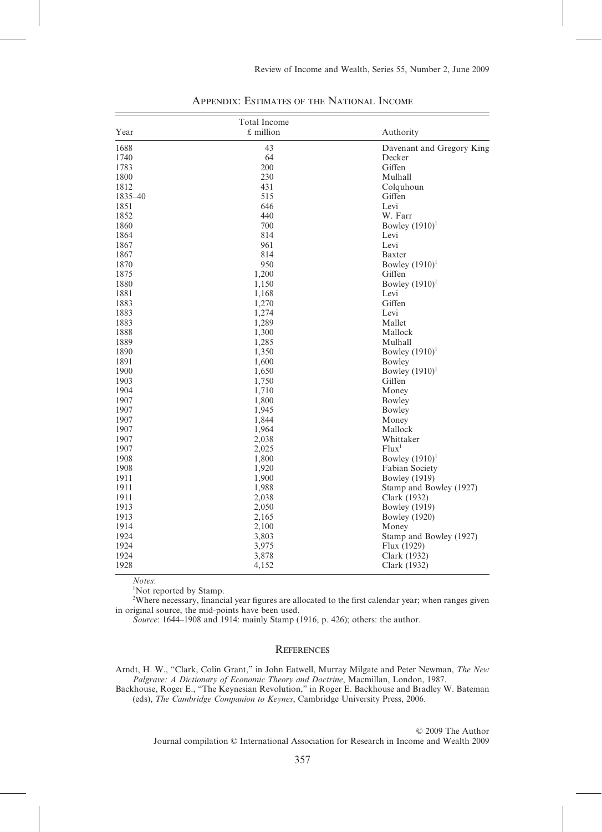|         | <b>Total Income</b> |                           |
|---------|---------------------|---------------------------|
| Year    | £ million           | Authority                 |
| 1688    | 43                  | Davenant and Gregory King |
| 1740    | 64                  | Decker                    |
| 1783    | 200                 | Giffen                    |
| 1800    | 230                 | Mulhall                   |
| 1812    | 431                 | Colquhoun                 |
| 1835-40 | 515                 | Giffen                    |
| 1851    | 646                 | Levi                      |
| 1852    | 440                 | W. Farr                   |
| 1860    | 700                 | Bowley $(1910)^1$         |
| 1864    | 814                 | Levi                      |
| 1867    | 961                 | Levi                      |
| 1867    | 814                 | Baxter                    |
| 1870    | 950                 | Bowley $(1910)^1$         |
| 1875    | 1,200               | Giffen                    |
| 1880    | 1,150               | Bowley $(1910)^1$         |
| 1881    | 1,168               | Levi                      |
| 1883    | 1,270               | Giffen                    |
| 1883    | 1,274               | Levi                      |
| 1883    | 1,289               | Mallet                    |
| 1888    | 1,300               | Mallock                   |
| 1889    | 1,285               | Mulhall                   |
| 1890    | 1,350               | Bowley $(1910)^1$         |
| 1891    | 1,600               | Bowley                    |
| 1900    | 1,650               | Bowley $(1910)^1$         |
| 1903    | 1,750               | Giffen                    |
| 1904    | 1,710               | Money                     |
| 1907    | 1,800               | Bowley                    |
| 1907    | 1,945               | Bowley                    |
| 1907    | 1,844               | Money                     |
| 1907    | 1,964               | Mallock                   |
| 1907    | 2,038               | Whittaker                 |
| 1907    | 2,025               | Flux <sup>1</sup>         |
| 1908    | 1,800               | Bowley $(1910)^1$         |
| 1908    | 1,920               | Fabian Society            |
| 1911    | 1,900               | <b>Bowley</b> (1919)      |
| 1911    | 1,988               | Stamp and Bowley (1927)   |
| 1911    | 2,038               | Clark (1932)              |
| 1913    | 2,050               | <b>Bowley</b> (1919)      |
| 1913    | 2,165               | <b>Bowley</b> (1920)      |
| 1914    | 2,100               | Money                     |
| 1924    | 3,803               | Stamp and Bowley (1927)   |
| 1924    | 3,975               | Flux (1929)               |
| 1924    | 3,878               | Clark (1932)              |
| 1928    | 4,152               | Clark (1932)              |
|         |                     |                           |

Appendix: Estimates of the National Income

*Notes*:

<sup>1</sup>Not reported by Stamp.

<sup>2</sup>Where necessary, financial year figures are allocated to the first calendar year; when ranges given in original source, the mid-points have been used.

*Source*: 1644–1908 and 1914: mainly Stamp (1916, p. 426); others: the author.

#### **REFERENCES**

Arndt, H. W., "Clark, Colin Grant," in John Eatwell, Murray Milgate and Peter Newman, *The New Palgrave: A Dictionary of Economic Theory and Doctrine*, Macmillan, London, 1987.

Backhouse, Roger E., "The Keynesian Revolution," in Roger E. Backhouse and Bradley W. Bateman (eds), *The Cambridge Companion to Keynes*, Cambridge University Press, 2006.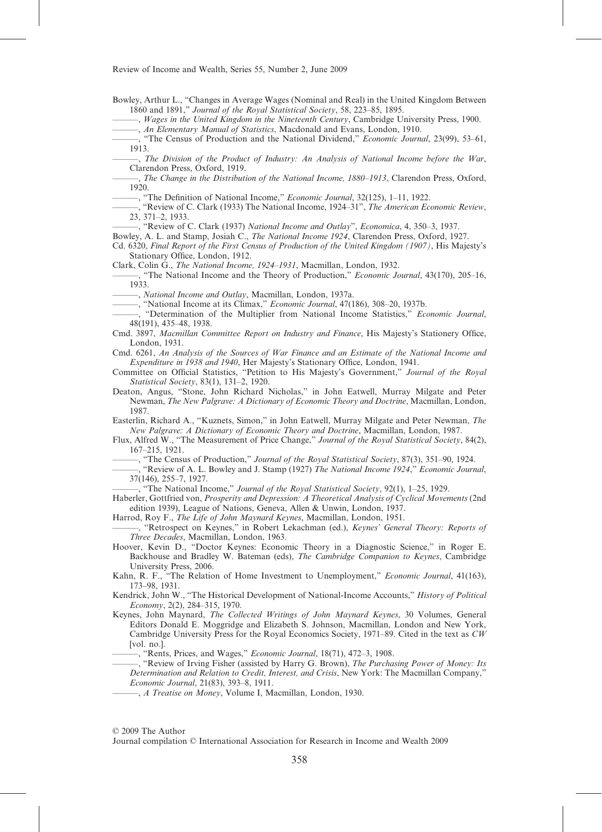Bowley, Arthur L., "Changes in Average Wages (Nominal and Real) in the United Kingdom Between 1860 and 1891," *Journal of the Royal Statistical Society*, 58, 223–85, 1895.

———, *Wages in the United Kingdom in the Nineteenth Century*, Cambridge University Press, 1900. ———, *An Elementary Manual of Statistics*, Macdonald and Evans, London, 1910.

———, "The Census of Production and the National Dividend," *Economic Journal*, 23(99), 53–61, 1913.

———, *The Division of the Product of Industry: An Analysis of National Income before the War*, Clarendon Press, Oxford, 1919.

———, *The Change in the Distribution of the National Income, 1880–1913*, Clarendon Press, Oxford, 1920.

———, "The Definition of National Income," *Economic Journal*, 32(125), 1–11, 1922.

———, "Review of C. Clark (1933) The National Income, 1924–31", *The American Economic Review*, 23, 371–2, 1933.

———, "Review of C. Clark (1937) *National Income and Outlay*", *Economica*, 4, 350–3, 1937.

Bowley, A. L. and Stamp, Josiah C., *The National Income 1924*, Clarendon Press, Oxford, 1927. Cd. 6320, *Final Report of the First Census of Production of the United Kingdom (1907)*, His Majesty's Stationary Office, London, 1912.

Clark, Colin G., *The National Income, 1924–1931*, Macmillan, London, 1932.

"The National Income and the Theory of Production," *Economic Journal*, 43(170), 205-16, 1933.

———, *National Income and Outlay*, Macmillan, London, 1937a.

———, "National Income at its Climax," *Economic Journal*, 47(186), 308–20, 1937b.

———, "Determination of the Multiplier from National Income Statistics," *Economic Journal*, 48(191), 435–48, 1938.

Cmd. 3897, *Macmillan Committee Report on Industry and Finance*, His Majesty's Stationery Office, London, 1931.

Cmd. 6261, *An Analysis of the Sources of War Finance and an Estimate of the National Income and Expenditure in 1938 and 1940*, Her Majesty's Stationary Office, London, 1941.

- Committee on Official Statistics, "Petition to His Majesty's Government," *Journal of the Royal Statistical Society*, 83(1), 131–2, 1920.
- Deaton, Angus, "Stone, John Richard Nicholas," in John Eatwell, Murray Milgate and Peter Newman, *The New Palgrave: A Dictionary of Economic Theory and Doctrine*, Macmillan, London, 1987.

Easterlin, Richard A., "Kuznets, Simon," in John Eatwell, Murray Milgate and Peter Newman, *The New Palgrave: A Dictionary of Economic Theory and Doctrine*, Macmillan, London, 1987.

Flux, Alfred W., "The Measurement of Price Change," *Journal of the Royal Statistical Society*, 84(2), 167–215, 1921.

———, "The Census of Production," *Journal of the Royal Statistical Society*, 87(3), 351–90, 1924.

———, "Review of A. L. Bowley and J. Stamp (1927) *The National Income 1924*," *Economic Journal*, 37(146), 255–7, 1927.

———, "The National Income," *Journal of the Royal Statistical Society*, 92(1), 1–25, 1929.

Haberler, Gottfried von, *Prosperity and Depression: A Theoretical Analysis of Cyclical Movements* (2nd edition 1939), League of Nations, Geneva, Allen & Unwin, London, 1937.

Harrod, Roy F., *The Life of John Maynard Keynes*, Macmillan, London, 1951.

- ———, "Retrospect on Keynes," in Robert Lekachman (ed.), *Keynes' General Theory: Reports of Three Decades*, Macmillan, London, 1963.
- Hoover, Kevin D., "Doctor Keynes: Economic Theory in a Diagnostic Science," in Roger E. Backhouse and Bradley W. Bateman (eds), *The Cambridge Companion to Keynes*, Cambridge University Press, 2006.

Kahn, R. F., "The Relation of Home Investment to Unemployment," *Economic Journal*, 41(163), 173–98, 1931.

Keynes, John Maynard, *The Collected Writings of John Maynard Keynes*, 30 Volumes, General Editors Donald E. Moggridge and Elizabeth S. Johnson, Macmillan, London and New York, Cambridge University Press for the Royal Economics Society, 1971–89. Cited in the text as *CW* [vol. no.].

———, "Rents, Prices, and Wages," *Economic Journal*, 18(71), 472–3, 1908.

———, "Review of Irving Fisher (assisted by Harry G. Brown), *The Purchasing Power of Money: Its Determination and Relation to Credit, Interest, and Crisis*, New York: The Macmillan Company," *Economic Journal*, 21(83), 393–8, 1911.

———, *A Treatise on Money*, Volume I, Macmillan, London, 1930.

© 2009 The Author

Kendrick, John W., "The Historical Development of National-Income Accounts," *History of Political Economy*, 2(2), 284–315, 1970.